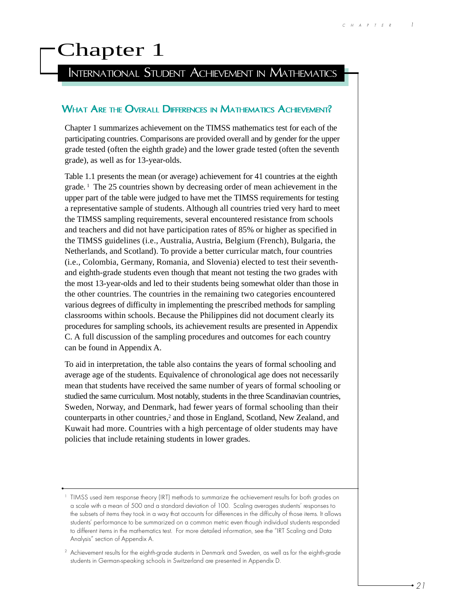# Chapter 1

# INTERNATIONAL STUDENT ACHIEVEMENT IN MATHEMATICS

#### WHAT ARE THE OVERALL DIFFERENCES IN MATHEMATICS ACHIEVEMENT?

Chapter 1 summarizes achievement on the TIMSS mathematics test for each of the participating countries. Comparisons are provided overall and by gender for the upper grade tested (often the eighth grade) and the lower grade tested (often the seventh grade), as well as for 13-year-olds.

Table 1.1 presents the mean (or average) achievement for 41 countries at the eighth grade. 1 The 25 countries shown by decreasing order of mean achievement in the upper part of the table were judged to have met the TIMSS requirements for testing a representative sample of students. Although all countries tried very hard to meet the TIMSS sampling requirements, several encountered resistance from schools and teachers and did not have participation rates of 85% or higher as specified in the TIMSS guidelines (i.e., Australia, Austria, Belgium (French), Bulgaria, the Netherlands, and Scotland). To provide a better curricular match, four countries (i.e., Colombia, Germany, Romania, and Slovenia) elected to test their seventhand eighth-grade students even though that meant not testing the two grades with the most 13-year-olds and led to their students being somewhat older than those in the other countries. The countries in the remaining two categories encountered various degrees of difficulty in implementing the prescribed methods for sampling classrooms within schools. Because the Philippines did not document clearly its procedures for sampling schools, its achievement results are presented in Appendix C. A full discussion of the sampling procedures and outcomes for each country can be found in Appendix A.

To aid in interpretation, the table also contains the years of formal schooling and average age of the students. Equivalence of chronological age does not necessarily mean that students have received the same number of years of formal schooling or studied the same curriculum. Most notably, students in the three Scandinavian countries, Sweden, Norway, and Denmark, had fewer years of formal schooling than their counterparts in other countries,<sup>2</sup> and those in England, Scotland, New Zealand, and Kuwait had more. Countries with a high percentage of older students may have policies that include retaining students in lower grades.

<sup>&</sup>lt;sup>1</sup> TIMSS used item response theory (IRT) methods to summarize the achievement results for both grades on a scale with a mean of 500 and a standard deviation of 100. Scaling averages students' responses to the subsets of items they took in a way that accounts for differences in the difficulty of those items. It allows students' performance to be summarized on a common metric even though individual students responded to different items in the mathematics test. For more detailed information, see the "IRT Scaling and Data Analysis" section of Appendix A.

<sup>&</sup>lt;sup>2</sup> Achievement results for the eighth-grade students in Denmark and Sweden, as well as for the eighth-grade students in German-speaking schools in Switzerland are presented in Appendix D.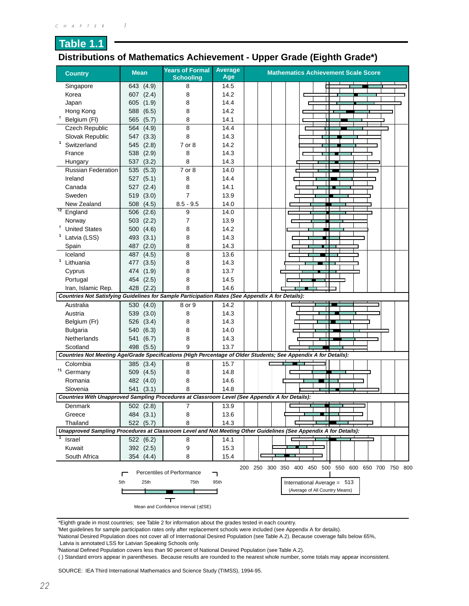# **Table 1.1 Distributions of Mathematics Achievement - Upper Grade (Eighth Grade\*)**

| <b>Country</b>                                                                                                         | <b>Mean</b>         | <b>Years of Formal</b><br><b>Schooling</b> | <b>Average</b><br>Age | <b>Mathematics Achievement Scale Score</b>                                                                       |
|------------------------------------------------------------------------------------------------------------------------|---------------------|--------------------------------------------|-----------------------|------------------------------------------------------------------------------------------------------------------|
| Singapore                                                                                                              | 643 (4.9)           | 8                                          | 14.5                  |                                                                                                                  |
| Korea                                                                                                                  | 607 (2.4)           | 8                                          | 14.2                  |                                                                                                                  |
| Japan                                                                                                                  | 605 (1.9)           | 8                                          | 14.4                  |                                                                                                                  |
| Hong Kong                                                                                                              | (6.5)<br>588        | 8                                          | 14.2                  |                                                                                                                  |
| t<br>Belgium (FI)                                                                                                      | (5.7)<br>565        | 8                                          | 14.1                  |                                                                                                                  |
| Czech Republic                                                                                                         | (4.9)<br>564        | 8                                          | 14.4                  |                                                                                                                  |
| Slovak Republic                                                                                                        | (3.3)<br>547        | 8                                          | 14.3                  |                                                                                                                  |
| $\mathbf{1}$<br>Switzerland                                                                                            | (2.8)<br>545        | 7 or 8                                     | 14.2                  |                                                                                                                  |
| France                                                                                                                 | 538<br>(2.9)        | 8                                          | 14.3                  |                                                                                                                  |
| Hungary                                                                                                                | (3.2)<br>537        | 8                                          | 14.3                  |                                                                                                                  |
| <b>Russian Federation</b>                                                                                              | 535<br>(5.3)        | 7 or 8                                     | 14.0                  |                                                                                                                  |
| Ireland                                                                                                                | (5.1)<br>527        | 8                                          | 14.4                  |                                                                                                                  |
| Canada                                                                                                                 | (2.4)<br>527        | 8                                          | 14.1                  |                                                                                                                  |
| Sweden                                                                                                                 | 519<br>(3.0)        | $\overline{7}$                             | 13.9                  |                                                                                                                  |
| New Zealand                                                                                                            | 508<br>(4.5)        | $8.5 - 9.5$                                | 14.0                  |                                                                                                                  |
| 12<br>England                                                                                                          | (2.6)<br>506        | 9                                          | 14.0                  |                                                                                                                  |
| Norway                                                                                                                 | 503(2.2)            | 7                                          | 13.9                  |                                                                                                                  |
| Ť<br><b>United States</b>                                                                                              | 500 (4.6)           | 8                                          | 14.2                  |                                                                                                                  |
| Latvia (LSS)                                                                                                           | 493<br>(3.1)        | 8                                          | 14.3                  |                                                                                                                  |
| Spain                                                                                                                  | (2.0)<br>487        | 8                                          | 14.3                  |                                                                                                                  |
| Iceland                                                                                                                | 487<br>(4.5)        | 8                                          | 13.6                  |                                                                                                                  |
| 1<br>Lithuania                                                                                                         | (3.5)               | 8                                          | 14.3                  |                                                                                                                  |
|                                                                                                                        | 477                 | 8                                          | 13.7                  |                                                                                                                  |
| Cyprus                                                                                                                 | 474 (1.9)           | 8                                          |                       |                                                                                                                  |
| Portugal                                                                                                               | 454 (2.5)           | 8                                          | 14.5<br>14.6          |                                                                                                                  |
| Iran, Islamic Rep.<br>Countries Not Satisfying Guidelines for Sample Participation Rates (See Appendix A for Details): | 428 (2.2)           |                                            |                       |                                                                                                                  |
| Australia                                                                                                              | (4.0)<br>530        | $8$ or $\overline{9}$                      | 14.2                  |                                                                                                                  |
| Austria                                                                                                                | 539<br>(3.0)        | 8                                          | 14.3                  |                                                                                                                  |
| Belgium (Fr)                                                                                                           | 526 (3.4)           | 8                                          | 14.3                  |                                                                                                                  |
| <b>Bulgaria</b>                                                                                                        | 540 (6.3)           | 8                                          | 14.0                  |                                                                                                                  |
| Netherlands                                                                                                            | (6.7)               | 8                                          | 14.3                  |                                                                                                                  |
| Scotland                                                                                                               | 541<br>498<br>(5.5) | 9                                          | 13.7                  |                                                                                                                  |
|                                                                                                                        |                     |                                            |                       | Countries Not Meeting Age/Grade Specifications (High Percentage of Older Students; See Appendix A for Details):  |
| Colombia                                                                                                               | 385(3.4)            | 8                                          | 15.7                  |                                                                                                                  |
| †1<br>Germany                                                                                                          | 509 (4.5)           | 8                                          | 14.8                  |                                                                                                                  |
| Romania                                                                                                                | 482 (4.0)           | 8                                          | 14.6                  |                                                                                                                  |
| Slovenia                                                                                                               | 541<br>(3.1)        | 8                                          | 14.8                  |                                                                                                                  |
|                                                                                                                        |                     |                                            |                       | Countries With Unapproved Sampling Procedures at Classroom Level (See Appendix A for Details):                   |
| Denmark                                                                                                                | 502(2.8)            | $\overline{7}$                             | 13.9                  |                                                                                                                  |
| Greece                                                                                                                 | 484 (3.1)           | 8                                          | 13.6                  |                                                                                                                  |
| Thailand                                                                                                               | 522 (5.7)           | 8                                          | 14.3                  |                                                                                                                  |
|                                                                                                                        |                     |                                            |                       | Unapproved Sampling Procedures at Classroom Level and Not Meeting Other Guidelines (See Appendix A for Details): |
| Israel                                                                                                                 | 522 (6.2)           | 8                                          | 14.1                  |                                                                                                                  |
| Kuwait                                                                                                                 | 392 (2.5)           | 9                                          | 15.3                  |                                                                                                                  |
| South Africa                                                                                                           | 354 (4.4)           | 8                                          | 15.4                  |                                                                                                                  |
|                                                                                                                        |                     |                                            |                       |                                                                                                                  |
|                                                                                                                        |                     | Percentiles of Performance                 | ר                     | 400 450 500 550 600 650 700 750 800<br>200 250 300 350                                                           |
|                                                                                                                        | 5th<br>25th         | 75th                                       | 95th                  | International Average = 513                                                                                      |
|                                                                                                                        |                     |                                            |                       | (Average of All Country Means)                                                                                   |
|                                                                                                                        |                     | ┯                                          |                       |                                                                                                                  |
|                                                                                                                        |                     | Mean and Confidence Interval (±2SE)        |                       |                                                                                                                  |

\*Eighth grade in most countries; see Table 2 for information about the grades tested in each country.

† Met guidelines for sample participation rates only after replacement schools were included (see Appendix A for details).

1 National Desired Population does not cover all of International Desired Population (see Table A.2). Because coverage falls below 65%,

Latvia is annotated LSS for Latvian Speaking Schools only.

2 National Defined Population covers less than 90 percent of National Desired Population (see Table A.2).

( ) Standard errors appear in parentheses. Because results are rounded to the nearest whole number, some totals may appear inconsistent.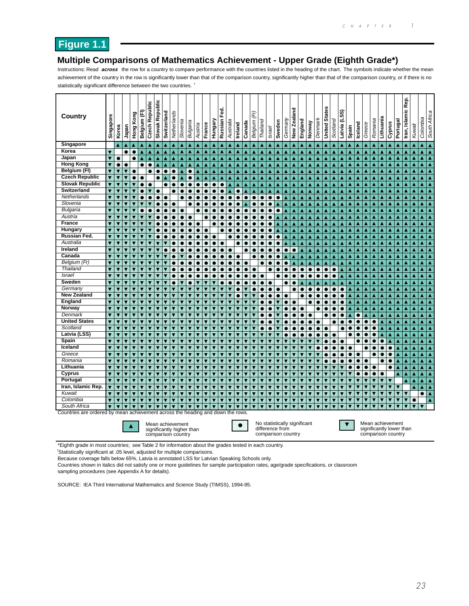## **Figure 1.1**

#### **Multiple Comparisons of Mathematics Achievement - Upper Grade (Eighth Grade\*)**

Instructions: Read **across** the row for a country to compare performance with the countries listed in the heading of the chart. The symbols indicate whether the mean achievement of the country in the row is significantly lower than that of the comparison country, significantly higher than that of the comparison country, or if there is no statistically significant difference between the two countries. †

| <b>Country</b>                                                                 | Singapore               | Korea                   | Japan                        | Hong Kong               | Belgium (FI)            | Czech Republic          | Slovak Republic         | Switzerland | Netherlands             | Slovenia                                                            | Bulgaria                | Austria   | France    | Hungary                 | Fed.<br>Russian         | Australia               | Ireland                  | Canada                  | (Fr)<br>Belgium         | Thailand                                                              | Israel                  | Sweden                  | Germany                  | New Zealand             | England                 | Norway                  | Denmark                 | <b>United States</b>    | Scotland       | SS)<br>پ<br>Latvia      | Spain     | Iceland                 | Greece                  | Romania   | Lithuania | Cyprus                                 | Portugal             | Rep.<br>Iran, Islamic    | Kuwait                  | Colombia                             | South Africa                         |
|--------------------------------------------------------------------------------|-------------------------|-------------------------|------------------------------|-------------------------|-------------------------|-------------------------|-------------------------|-------------|-------------------------|---------------------------------------------------------------------|-------------------------|-----------|-----------|-------------------------|-------------------------|-------------------------|--------------------------|-------------------------|-------------------------|-----------------------------------------------------------------------|-------------------------|-------------------------|--------------------------|-------------------------|-------------------------|-------------------------|-------------------------|-------------------------|----------------|-------------------------|-----------|-------------------------|-------------------------|-----------|-----------|----------------------------------------|----------------------|--------------------------|-------------------------|--------------------------------------|--------------------------------------|
| Singapore                                                                      |                         | ▲                       | ▲                            | $\blacktriangle$        | ▲                       | ▲                       | A                       |             | Δ                       | ▲                                                                   | A                       | ▴         | Δ         | ▲                       | Δ                       | ▲                       |                          | Δ                       | Δ                       | Δ                                                                     | ▲                       | ▲                       | Δ                        | ▲                       | ▴                       | Δ                       | Δ                       | ▲                       | ۸              | ▲                       | ▴         | ▴                       | ▲                       | ▴         | ٠         | ٨                                      | Δ                    | A                        | Δ                       | ▲                                    | $\blacktriangle$                     |
| Korea                                                                          | $\overline{\textbf{v}}$ |                         | $\bullet$                    | $\bullet$               |                         |                         |                         |             |                         |                                                                     |                         |           |           |                         |                         |                         |                          |                         |                         |                                                                       |                         |                         |                          |                         |                         |                         |                         |                         |                |                         |           |                         |                         |           |           |                                        |                      |                          |                         | ▲                                    | $\blacktriangle$                     |
| Japan                                                                          | ▼                       | $\bullet$               |                              | $\bullet$               | ٨                       |                         | A                       |             | ▲                       |                                                                     | ٨                       |           | ٨         | Δ                       | A                       | A                       |                          |                         | A                       | ٨                                                                     | $\blacktriangle$        | ▲                       | Δ                        | Ā                       |                         | Δ                       | Ā                       | ▲                       |                | A                       | ▲         | A                       | ▲                       | ▲         | Δ         | A                                      | A                    | ▲                        | $\blacktriangle$        | ▲                                    | $\blacktriangle$                     |
| <b>Hong Kong</b>                                                               | ▼                       | $\bullet$               | $\bullet$                    |                         | $\bullet$               | $\bullet$               | Ā                       | Ā           | Ā                       | Ā                                                                   | Ā                       | A         | A         | Ā                       | Ā                       | $\blacktriangle$        | Ā                        | A                       | A                       | Ā                                                                     | A                       | Ā                       | Ā                        | ▲                       | A                       | Ā                       | Ā                       | Ā                       | Ā              | Ā                       | Ā         | Ā                       | Ā                       | Ā         | Ā         | Ā                                      |                      | ▲                        | $\blacktriangle$        | $\blacktriangle$                     | $\blacktriangle$                     |
| Belgium (FI)                                                                   | $\overline{\textbf{v}}$ | $\overline{\textbf{v}}$ | $\overline{\textbf{v}}$      | $\bullet$               |                         |                         | $\bullet$               | $\bullet$   | $\bullet$               | Ā                                                                   | $\bullet$               |           |           | Δ                       | Ā                       | $\blacktriangle$        | ٨                        | ▲                       |                         |                                                                       | ▲                       | Ā                       | ٨                        | Ā                       |                         | ▲                       | Ā                       | ▲                       | ٨              | ٨                       | ▲         | ▲                       | Δ                       | ٨         | Δ         | Δ                                      |                      | ▲                        | ▲                       | $\blacktriangle$                     | $\blacktriangle$                     |
| <b>Czech Republic</b>                                                          | $\overline{\textbf{v}}$ | $\overline{\textbf{v}}$ | ▼                            | $\bullet$               | 0                       |                         | $\bullet$               | ٨           | $\bullet$               | Ā                                                                   | $\bullet$               |           | A         | A                       | A                       | ▲                       | ٨                        | A                       | A                       | ٨                                                                     | ▲                       | ▲                       | Ā                        | ▲                       | ▲                       | Δ                       | ▲                       | A                       | ٨              | ▲                       | ▲         | Ā                       | ▲                       | ▲         | ٨         | Ā                                      | A                    | ▲                        | ▲                       | ▲                                    | $\blacktriangle$                     |
| <b>Slovak Republic</b>                                                         | ▼                       | $\blacktriangledown$    | ▼                            | v                       | 0                       | $\bullet$               |                         | 0           | $\bullet$               | $\bullet$                                                           | c                       | $\bullet$ |           | $\bullet$               | $\bullet$               | ▲                       | ▲                        | ▲                       |                         | ٨                                                                     | ▲                       | ▴                       | Δ                        | ▲                       | Δ                       | ▲                       | ▲                       | ▲                       | ٨              | A                       | Δ         | Δ                       | Δ                       |           | ٨         | Δ                                      | Δ                    | ▲                        | ▲                       | ▲                                    | ▲                                    |
| Switzerland                                                                    | $\overline{\textbf{v}}$ | $\overline{\textbf{v}}$ | ▼                            | ▼                       | $\bullet$               | ▼                       | $\bullet$               |             | $\bullet$               | $\bullet$                                                           | $\bullet$               | $\bullet$ | $\bullet$ | $\bullet$               | $\bullet$               | $\blacktriangle$        | $\bullet$                | ▲                       | ▲                       | ▲                                                                     | ▲                       | ▲                       | ▲                        | ▲                       | A                       | Δ                       | ▲                       | ▲                       | ▲              | ▲                       | ▲         | ▲                       | ▲                       |           | Δ         | ▲                                      |                      | $\blacktriangle$         | $\blacktriangle$        | ▲                                    | $\blacktriangle$                     |
| Netherlands                                                                    | $\overline{\textbf{v}}$ | $\overline{\textbf{v}}$ | $\overline{\textbf{v}}$      |                         |                         | $\bullet$               | $\bullet$               | $\bullet$   |                         | $\bullet$                                                           | e                       |           | $\bullet$ |                         | $\bullet$               | $\bullet$               | ė                        | $\bullet$               | $\bullet$               | $\bullet$                                                             | $\bullet$               | $\bullet$               |                          |                         |                         | Δ                       | ٨                       |                         |                | A                       |           |                         | ٨                       |           |           |                                        |                      | Δ                        | $\blacktriangle$        | $\blacktriangle$                     | $\blacktriangle$                     |
| Slovenia                                                                       | ▼                       | $\overline{\textbf{v}}$ | ▼                            | ▼                       |                         |                         |                         | $\bullet$   | 0                       |                                                                     | c                       |           |           | e                       |                         | $\bullet$               | e                        |                         |                         | e                                                                     | $\bullet$               | ▲                       | Δ                        | ▲                       |                         | ▲                       | ▲                       | ▲                       | ۸              | ▲                       | ▲         | ▲                       | ▲                       | ▲         | ▲         | ▲                                      | ▴                    | ▲                        | $\blacktriangle$        | ▲                                    | $\blacktriangle$                     |
| <b>Bulgaria</b>                                                                | ▼                       | $\overline{\mathbf{v}}$ | ▼                            | ▼                       | c                       |                         |                         |             | $\bullet$               | $\bullet$                                                           |                         | $\bullet$ |           | $\bullet$               |                         |                         | e                        | $\bullet$               |                         | e                                                                     | $\bullet$               | $\bullet$               | Ā                        | ▲                       | A                       | Ā                       | Ā                       | Ā                       | Ā              | Ā                       | A         | Ā                       | Ā                       | Ā         | ٨         | Ā                                      |                      | Ā                        | ▲                       | $\blacktriangle$                     | $\blacktriangle$                     |
| Austria                                                                        | $\overline{\textbf{v}}$ | $\overline{\textbf{v}}$ |                              | ▼                       |                         |                         |                         |             |                         | $\bullet$                                                           | $\bullet$               |           |           |                         |                         |                         |                          |                         |                         |                                                                       | $\bullet$               | Ā                       | ٨                        | Ā                       | A                       | ▲                       | Δ                       | ▲                       | ٨              | ٨                       | ▲         | Δ                       | ▲                       | ۸         | Δ         | Δ                                      |                      | ▲                        | ▲                       | ▲                                    | Â                                    |
| <b>France</b>                                                                  | ▼                       | $\overline{\textbf{v}}$ | ▼                            | ▼                       |                         |                         |                         |             | e                       |                                                                     | 8                       | e         |           | e                       |                         |                         |                          | $\bullet$               | $\bullet$               | e                                                                     | $\bullet$               | Δ                       | Δ                        | Ā                       |                         | Δ                       | ▲                       | ▲                       | ٨              | ▲                       | ▲         | ▲                       | ▲                       | ▲         | ٨         | ▲                                      | A                    | A                        | ▲                       | ▲                                    | $\blacktriangle$                     |
| Hungary                                                                        | ▼                       | $\blacktriangledown$    | ▼                            | ▼                       |                         |                         |                         |             | e                       |                                                                     | c                       | $\bullet$ | $\bullet$ |                         | $\bullet$               | $\bullet$               | G                        | с                       |                         | $\bullet$                                                             | $\bullet$               | ▲                       | ▴                        | ▲                       | ▲                       | ▲                       | ▲                       | ▲                       | ▴              | ▲                       | Δ         |                         |                         |           |           |                                        |                      | ٨                        |                         | ▲                                    | Δ                                    |
| Russian Fed.                                                                   | ▼                       | $\overline{\textbf{v}}$ | $\overline{\textbf{v}}$      | ▼                       |                         |                         | $\bullet$               |             | c                       | $\bullet$                                                           |                         | $\bullet$ | $\bullet$ |                         |                         | $\bullet$               | G                        |                         | $\bullet$               | O                                                                     | $\bullet$               | $\bullet$               | ▲                        | ▲                       | ▲                       | ▲                       |                         | ▲                       | ۸              | ▲                       | ▲         | ▲                       | ▲                       |           |           | ▲                                      |                      | ▲                        | ▲                       | ▲                                    | $\blacktriangle$                     |
| Australia                                                                      | ▼                       | $\overline{\textbf{v}}$ | $\overline{\textbf{v}}$      | ▼                       |                         |                         |                         |             |                         |                                                                     |                         |           | $\bullet$ | O                       | $\bullet$               |                         | e                        |                         |                         |                                                                       | $\bullet$               | $\bullet$               |                          |                         |                         | ٨                       |                         |                         |                |                         |           |                         |                         |           |           |                                        |                      | Δ                        | ▲                       | ▲                                    | $\blacktriangle$                     |
| Ireland                                                                        | ▼                       | $\blacktriangledown$    | ▼                            | ▼                       |                         |                         |                         | o           | e                       |                                                                     |                         | œ         |           | e                       | $\bullet$               | $\bullet$               |                          |                         |                         | e                                                                     | $\bullet$               | $\bullet$               | $\bullet$                | $\bullet$               |                         | ▲                       | ▲                       | ▲                       |                | ▲                       | ▲         | ▲                       | ▲                       | ▴         | Δ         | ▲                                      | ▲                    | ▲                        | ▲                       | ▲                                    | $\blacktriangle$                     |
| Canada                                                                         | ▼                       | $\overline{\textbf{v}}$ | $\overline{\textbf{v}}$      | ▼                       |                         |                         | ▼                       |             | $\bullet$               | ▼                                                                   | c                       |           |           | c                       | $\bullet$               | $\bullet$               | $\bullet$                |                         | $\bullet$               | $\bullet$                                                             | $\bullet$               | $\bullet$               | Δ                        | Δ                       |                         | ▲                       | ▲                       | ▲                       | Ā              | ▲                       | ▲         | ▲                       | $\blacktriangle$        | ▲         | Δ         | Δ                                      | ▲                    | ▲                        | ▲                       | $\blacktriangle$                     | $\blacktriangle$                     |
| Belgium (Fr)                                                                   | ▼                       | $\overline{\textbf{v}}$ | ▼                            | ▼                       |                         |                         |                         |             | e                       |                                                                     |                         |           |           |                         | $\bullet$               | $\bullet$               | G                        | с                       |                         | e                                                                     | $\bullet$               | $\bullet$               |                          | Δ                       |                         | Δ                       | Δ                       | ▲                       | Δ              | ▲                       | ▲         | ▲                       | ▲                       | ۸         | ▲         | ▲                                      |                      | ▲                        | ▲                       | ▲                                    | Δ                                    |
| Thailand                                                                       | $\overline{\textbf{v}}$ | $\overline{\textbf{v}}$ | $\overline{\textbf{v}}$      | ▼                       | $\overline{\textbf{v}}$ | $\overline{\textbf{v}}$ |                         |             | $\bullet$               | $\bullet$                                                           | ė                       | $\bullet$ | $\bullet$ | ●                       | $\bullet$               | $\bullet$               | $\bullet$                | $\bullet$               | $\bullet$               |                                                                       | $\bullet$               | $\bullet$               | $\bullet$                | $\bullet$               | $\bullet$               | $\bullet$               | $\bullet$               | $\bullet$               | $\bullet$      | A                       | A         | A                       | ▲                       | ▲         | ٨         | A                                      | A                    | A                        | ▲                       | $\blacktriangle$                     | $\blacktriangle$                     |
| <b>Israel</b>                                                                  | $\overline{\textbf{v}}$ | $\overline{\textbf{v}}$ | ▼                            | ▼                       |                         |                         |                         |             | c                       | $\bullet$                                                           | e                       |           |           |                         | $\bullet$               | $\bullet$               | ė                        | $\bullet$               | $\bullet$               | $\bullet$                                                             |                         | $\bullet$               | $\bullet$                | $\bullet$               | $\bullet$               | $\bullet$               | $\bullet$               | $\bullet$               | $\bullet$      |                         | A         |                         |                         |           |           |                                        |                      | ٨                        |                         | ▲                                    | $\blacktriangle$                     |
| Sweden                                                                         | $\overline{\textbf{v}}$ | $\overline{\textbf{v}}$ |                              |                         |                         |                         |                         |             | Ċ                       |                                                                     |                         |           |           |                         |                         |                         |                          |                         |                         |                                                                       |                         |                         |                          |                         |                         |                         |                         |                         |                | A                       |           |                         | A                       |           |           |                                        |                      |                          | A                       |                                      |                                      |
| Germany                                                                        | $\overline{\mathbf{v}}$ | $\overline{\textbf{v}}$ | ▼<br>$\overline{\textbf{v}}$ | ▼                       |                         | ▼                       | $\overline{\textbf{v}}$ |             |                         | ▼                                                                   | Ċ<br>۳                  | ▼         | ▼         | ▼                       | $\bullet$               | $\bullet$               | Ò                        | $\bullet$               | $\bullet$               | $\bullet$                                                             | $\bullet$               |                         | Ò                        | $\bullet$               | ▲                       | Δ                       |                         | Δ                       | Δ<br>$\bullet$ | ▲                       | ▲<br>▲    | ▲<br>▲                  | Ā                       | A         | Δ<br>٨    | ▲<br>Ā                                 |                      | $\blacktriangle$<br>Ā    | $\blacktriangle$        | $\blacktriangle$<br>$\blacktriangle$ | $\blacktriangle$<br>$\blacktriangle$ |
| <b>New Zealand</b>                                                             |                         |                         |                              |                         |                         | $\overline{\textbf{v}}$ | v                       |             |                         |                                                                     |                         |           |           |                         |                         |                         |                          |                         |                         | $\bullet$                                                             | $\bullet$               | $\bullet$               |                          | 0                       | $\bullet$               | $\bullet$               | $\bullet$               | $\bullet$               |                | $\bullet$               |           |                         |                         |           |           |                                        |                      |                          |                         |                                      | $\overline{\blacktriangle}$          |
|                                                                                | ▼                       | $\overline{\textbf{v}}$ | ▼                            | ▼                       |                         |                         |                         |             | ▼                       | ▼                                                                   |                         |           |           | $\overline{\textbf{v}}$ | ▼                       | $\overline{\textbf{v}}$ | e                        |                         | ▼                       | ●                                                                     | $\bullet$               | $\bullet$               | $\bullet$                |                         |                         |                         | $\bullet$               | $\bullet$               | O              | $\bullet$               | ▲         | ▲                       | ▲                       | ▲         | ▲         | ▲                                      | A                    | ▲                        | $\blacktriangle$        | ▲                                    |                                      |
| <b>England</b>                                                                 | $\overline{\textbf{v}}$ | $\overline{\mathbf{v}}$ | $\overline{\textbf{v}}$      | ▼                       |                         | $\overline{\textbf{v}}$ | $\overline{\textbf{v}}$ | ▼           | $\overline{\textbf{v}}$ | ▼                                                                   | ▼                       |           | ▼         | $\overline{\textbf{v}}$ | $\overline{\textbf{v}}$ | $\overline{\mathbf{v}}$ | $\overline{\phantom{a}}$ |                         | $\overline{\textbf{v}}$ | $\bullet$                                                             | $\bullet$               | ▼                       | $\bullet$                | $\bullet$               |                         | ė                       | $\bullet$               | $\bullet$               | ė              | $\bullet$               | Ā         | Ā                       | Ā                       | Ā         | Ā         | Ā                                      |                      | Ā                        | Ā                       | $\blacktriangle$                     | $\blacktriangle$                     |
| Norway<br>Denmark                                                              | $\overline{\textbf{v}}$ | $\overline{\textbf{v}}$ | ▼                            | ▼                       |                         |                         |                         |             | $\overline{\textbf{v}}$ | ▼                                                                   | ▼                       |           |           | ▼                       | ۰                       | $\overline{\textbf{v}}$ |                          |                         |                         |                                                                       | $\bullet$               | ▼                       | Ċ                        | 0                       | $\bullet$               |                         | O                       | 0                       | e              | $\bullet$               | ▲         | Δ                       | ▲                       | ۸         | Δ         | ▲                                      | A                    | ▲                        | ▲                       | ▲                                    | $\blacktriangle$                     |
|                                                                                | $\overline{\textbf{v}}$ | $\overline{\textbf{v}}$ | ▼                            | ▼                       | $\overline{\textbf{v}}$ | $\overline{\textbf{v}}$ |                         |             | $\overline{\textbf{v}}$ | ▼                                                                   | ▼                       |           |           | $\overline{\textbf{v}}$ | ▼                       | $\overline{\textbf{v}}$ |                          | $\overline{\textbf{v}}$ |                         | e                                                                     | $\bullet$               | ▼                       | $\bullet$                | $\bullet$               | $\bullet$               | $\bullet$               |                         | $\bullet$               | e              | $\bullet$               | ▲         | $\bullet$               | ▲                       | ▲         | Δ         | ▲                                      | A                    | ▲                        | ▲                       | $\blacktriangle$                     | $\blacktriangle$                     |
| <b>United States</b>                                                           | ▼                       | $\overline{\textbf{v}}$ | ▼                            | ▼                       |                         | ▼                       | ▼                       |             |                         | ▼                                                                   | v                       | ▼         | ▼         |                         | ▼                       | $\overline{\textbf{v}}$ |                          | $\overline{\textbf{v}}$ |                         | 0                                                                     | $\bullet$               |                         | c                        | $\bullet$               | $\bullet$               | $\bullet$               | $\bullet$               |                         | $\bullet$      | $\bullet$               |           | $\bullet$               |                         |           |           |                                        |                      | A                        |                         | ▲                                    | $\blacktriangle$                     |
| Scotland                                                                       | ▼                       | $\overline{\mathbf{v}}$ | ▼                            | ▼                       | $\overline{\textbf{v}}$ | $\overline{\textbf{v}}$ | $\overline{\textbf{v}}$ | v           | $\overline{\textbf{v}}$ | ▼                                                                   | ▼                       | ▼         | ▼         | ▼                       | ▼                       | $\overline{\mathbf{v}}$ | ▼                        | ▼                       | ▼                       | $\bullet$                                                             | $\bullet$               | ▼                       | $\bullet$                | $\bullet$               | $\bullet$               | $\bullet$               | $\bullet$               | $\bullet$               |                | $\bullet$               | $\bullet$ | $\bullet$               | $\bullet$               | $\bullet$ | Δ         | ▲                                      |                      | ▲                        | $\blacktriangle$        | ▲                                    | $\blacktriangle$                     |
| Latvia (LSS)                                                                   | $\overline{\textbf{v}}$ | $\overline{\mathbf{v}}$ | $\overline{\textbf{v}}$      |                         |                         |                         |                         |             |                         |                                                                     |                         |           |           | $\overline{\textbf{v}}$ | $\overline{\textbf{v}}$ | $\overline{\textbf{v}}$ |                          |                         |                         |                                                                       | $\overline{\textbf{v}}$ |                         | $\bullet$                | 0                       |                         | e                       | $\bullet$               | $\bullet$               | $\bullet$      |                         | $\bullet$ | $\bullet$               | $\bullet$               |           |           | Ā                                      |                      | ▲                        | $\blacktriangle$        | $\blacktriangle$                     | $\blacktriangle$                     |
| Spain                                                                          | ▼                       | $\blacktriangledown$    | ▼                            | ▼                       |                         |                         |                         |             | ▼                       | ▼                                                                   |                         |           |           | ▼                       | ▼                       | ▼                       |                          |                         | ▼                       |                                                                       | ▼                       | ▼                       |                          |                         |                         | ▼                       | ▼                       | $\bullet$               | $\bullet$      | $\bullet$               |           |                         | e                       |           | $\bullet$ | A                                      | A                    | ▲                        | $\blacktriangle$        | ▲                                    | $\blacktriangle$                     |
| Iceland                                                                        | $\overline{\textbf{v}}$ | $\overline{\textbf{v}}$ | $\overline{\textbf{v}}$      | ▼                       |                         | $\overline{\textbf{v}}$ | v                       | ▼           | ▼                       | ▼                                                                   | ▼                       |           | ▼         | $\overline{\textbf{v}}$ | $\overline{\textbf{v}}$ | $\overline{\mathbf{v}}$ | ▼                        | $\overline{\textbf{v}}$ |                         | ▼                                                                     | $\overline{\textbf{v}}$ | $\overline{\textbf{v}}$ | ▼                        |                         | $\overline{\textbf{v}}$ | ▼                       | $\bullet$               |                         | e              | $\bullet$               |           |                         | $\bullet$               | $\bullet$ | $\bullet$ | $\bullet$                              | A                    | Ā                        | Ā                       | $\blacktriangle$                     | $\blacktriangle$                     |
| Greece                                                                         | $\overline{\textbf{v}}$ | $\overline{\textbf{v}}$ | ▼                            | ▼                       |                         |                         |                         |             | ▼                       | ▼                                                                   | ₹                       |           |           | ▼                       | $\overline{\textbf{v}}$ | $\overline{\textbf{v}}$ |                          |                         |                         | ▼                                                                     | $\overline{\textbf{v}}$ |                         | ▼                        |                         |                         | ▼                       | $\overline{\textbf{v}}$ |                         |                |                         |           | $\bullet$               |                         | 0         | $\bullet$ | $\bullet$                              | Δ                    | ▲                        | ▲                       | ▲                                    | ▲                                    |
| Romania                                                                        | ▼                       | $\overline{\textbf{v}}$ | ▼                            | ▼                       |                         | ▼                       |                         |             | ▼                       | ▼                                                                   | v                       | ▼         |           | ▼                       | ▼                       | ▼                       | ▼                        | ▼                       |                         | ▼                                                                     | ▼                       | ▼                       | ▼                        | ▼                       | $\overline{\textbf{v}}$ | ▼                       | ▼                       | $\bullet$               | ●              | $\bullet$               | $\bullet$ | $\bullet$               | $\bullet$               |           | $\bullet$ | $\bullet$                              | A                    | A                        | ▲                       | ▲                                    | $\blacktriangle$                     |
| Lithuania                                                                      | ▼                       | $\overline{\textbf{v}}$ |                              | ▼                       |                         |                         |                         |             |                         |                                                                     | v                       |           |           |                         |                         | ▼                       |                          | ▼                       |                         | v                                                                     | ▼                       |                         | ▼                        |                         | $\overline{\textbf{v}}$ |                         |                         |                         |                |                         |           | $\bullet$               | $\bullet$               | $\bullet$ |           | $\bullet$                              |                      | A                        |                         | ▲                                    | $\blacktriangle$                     |
| Cyprus                                                                         | ▼                       | $\overline{\textbf{v}}$ | ▼                            | $\overline{\textbf{v}}$ | ▼                       | ▼                       | $\overline{\textbf{v}}$ | v           | $\overline{\textbf{v}}$ | ▼                                                                   | ▼                       | ▼         | ▼         | ▼                       | ▼                       | $\overline{\textbf{v}}$ | ▼                        | ▼                       | ▼                       | ▼                                                                     | ▼                       | ▼                       | ▼                        | ▼                       | $\overline{\textbf{v}}$ | ▼                       | ▼                       | ▼                       | ▼              | $\overline{\textbf{v}}$ | ▼         | $\bullet$               | $\bullet$               | $\bullet$ | $\bullet$ |                                        |                      | $\blacktriangle$         | ▲                       | ▲                                    | $\blacktriangle$                     |
| Portugal                                                                       | $\overline{\textbf{v}}$ | $\overline{\textbf{v}}$ | $\overline{\textbf{v}}$      |                         |                         |                         |                         |             |                         |                                                                     |                         |           |           | $\overline{\textbf{v}}$ | $\overline{\textbf{v}}$ | $\overline{\textbf{v}}$ |                          |                         |                         | $\overline{\mathbf{v}}$                                               | $\overline{\textbf{v}}$ |                         |                          |                         | $\overline{\textbf{v}}$ | $\overline{\mathbf{v}}$ | $\overline{\textbf{v}}$ | ▼                       |                | $\overline{\textbf{v}}$ | ▼         | $\overline{\textbf{v}}$ | $\overline{\textbf{v}}$ | ▼         | ▼         | ▼                                      |                      | ▲                        | $\blacktriangle$        | $\blacktriangle$                     | $\blacktriangle$                     |
| Iran, Islamic Rep.                                                             | ▼                       | $\blacktriangledown$    | ▼                            | ▼                       | ▼                       | ▼                       | ▼                       |             | ▼                       | ▼                                                                   | ▼                       | ▼         | ▼         | ▼                       | ▼                       | $\blacktriangledown$    | ▼                        | ▼                       | ▼                       | ▼                                                                     | ▼                       | ▼                       | ▼                        | ▼                       | $\overline{\textbf{v}}$ | ▼                       | ▼                       | ▼                       | ▼              | $\overline{\textbf{v}}$ |           | ▼                       | ▼                       |           | ▼         |                                        |                      |                          | ▲                       | ▲                                    | $\blacktriangle$                     |
| Kuwait                                                                         | $\overline{\textbf{v}}$ | $\overline{\textbf{v}}$ | $\overline{\textbf{v}}$      | $\overline{\textbf{v}}$ | ▼                       | $\overline{\textbf{v}}$ | $\overline{\textbf{v}}$ | ▼           | $\overline{\textbf{v}}$ | $\overline{\textbf{v}}$                                             | $\overline{\textbf{v}}$ | ▼         | ▼         | ▼                       | $\overline{\textbf{v}}$ | $\overline{\textbf{v}}$ | ▼                        | $\overline{\textbf{v}}$ | $\overline{\textbf{v}}$ | ▼                                                                     | $\overline{\textbf{v}}$ | ▼                       | $\overline{\textbf{v}}$  | $\overline{\textbf{v}}$ | $\overline{\textbf{v}}$ | ▼                       | ▼                       | $\overline{\textbf{v}}$ | ▼              | $\overline{\textbf{v}}$ | ▼         | $\overline{\mathbf{v}}$ | $\overline{\textbf{v}}$ | ▼         | ▼         | ▼                                      | $\blacktriangledown$ | ▼                        |                         | $\bullet$                            | $\blacktriangle$                     |
| Colombia                                                                       | ▼                       | $\overline{\textbf{v}}$ | ▼                            | ▼                       |                         | $\overline{\textbf{v}}$ | ▼                       | ▼           | $\overline{\textbf{v}}$ | ▼                                                                   | ▼                       |           | ▼         | ▼                       | ▼                       | ▼                       | ▼                        | $\overline{\textbf{v}}$ | ▼                       | ▼                                                                     | $\blacktriangledown$    | ▼                       | ▼                        | $\overline{\textbf{v}}$ | $\overline{\textbf{v}}$ | ▼                       | ▼                       | ▼                       | ▼              | $\overline{\textbf{v}}$ | ▼         | ▼                       | ▼                       | ▼         | ▼         | ▼                                      | ▼                    | ▼                        | $\bullet$               |                                      | ▲                                    |
| South Africa                                                                   | $\overline{\textbf{v}}$ | $\overline{\textbf{v}}$ |                              | ▼                       |                         |                         |                         |             |                         |                                                                     |                         |           |           |                         | ▼                       |                         |                          | $\overline{\textbf{v}}$ | ▼                       | $\overline{\textbf{v}}$                                               | $\overline{\textbf{v}}$ | ▼                       | $\overline{\phantom{a}}$ |                         |                         | $\overline{\textbf{v}}$ | $\overline{\textbf{v}}$ | ▼                       |                |                         |           |                         |                         |           |           |                                        |                      | ▼                        | $\overline{\textbf{v}}$ | ▼                                    |                                      |
| Countries are ordered by mean achievement across the heading and down the rows |                         |                         |                              |                         |                         |                         |                         |             |                         |                                                                     |                         |           |           |                         |                         |                         |                          |                         |                         |                                                                       |                         |                         |                          |                         |                         |                         |                         |                         |                |                         |           |                         |                         |           |           |                                        |                      |                          |                         |                                      |                                      |
|                                                                                |                         |                         |                              |                         |                         |                         |                         |             |                         | Mean achievement<br>significantly higher than<br>comparison country |                         |           |           |                         |                         |                         | ●                        |                         |                         | No statistically significant<br>difference from<br>comparison country |                         |                         |                          |                         |                         |                         |                         |                         |                |                         |           |                         |                         |           |           | Mean achievement<br>comparison country |                      | significantly lower than |                         |                                      |                                      |

\*Eighth grade in most countries; see Table 2 for information about the grades tested in each country.

† Statistically significant at .05 level, adjusted for multiple comparisons.

Because coverage falls below 65%, Latvia is annotated LSS for Latvian Speaking Schools only.

Countries shown in italics did not satisfy one or more guidelines for sample participation rates, age/grade specifications, or classroom sampling procedures (see Appendix A for details).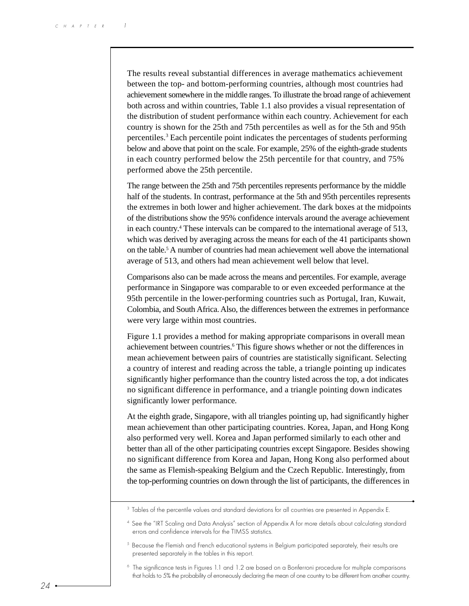The results reveal substantial differences in average mathematics achievement between the top- and bottom-performing countries, although most countries had achievement somewhere in the middle ranges. To illustrate the broad range of achievement both across and within countries, Table 1.1 also provides a visual representation of the distribution of student performance within each country. Achievement for each country is shown for the 25th and 75th percentiles as well as for the 5th and 95th percentiles.3 Each percentile point indicates the percentages of students performing below and above that point on the scale. For example, 25% of the eighth-grade students in each country performed below the 25th percentile for that country, and 75% performed above the 25th percentile.

The range between the 25th and 75th percentiles represents performance by the middle half of the students. In contrast, performance at the 5th and 95th percentiles represents the extremes in both lower and higher achievement. The dark boxes at the midpoints of the distributions show the 95% confidence intervals around the average achievement in each country.4 These intervals can be compared to the international average of 513, which was derived by averaging across the means for each of the 41 participants shown on the table.5 A number of countries had mean achievement well above the international average of 513, and others had mean achievement well below that level.

Comparisons also can be made across the means and percentiles. For example, average performance in Singapore was comparable to or even exceeded performance at the 95th percentile in the lower-performing countries such as Portugal, Iran, Kuwait, Colombia, and South Africa. Also, the differences between the extremes in performance were very large within most countries.

Figure 1.1 provides a method for making appropriate comparisons in overall mean achievement between countries.<sup>6</sup> This figure shows whether or not the differences in mean achievement between pairs of countries are statistically significant. Selecting a country of interest and reading across the table, a triangle pointing up indicates significantly higher performance than the country listed across the top, a dot indicates no significant difference in performance, and a triangle pointing down indicates significantly lower performance.

At the eighth grade, Singapore, with all triangles pointing up, had significantly higher mean achievement than other participating countries. Korea, Japan, and Hong Kong also performed very well. Korea and Japan performed similarly to each other and better than all of the other participating countries except Singapore. Besides showing no significant difference from Korea and Japan, Hong Kong also performed about the same as Flemish-speaking Belgium and the Czech Republic. Interestingly, from the top-performing countries on down through the list of participants, the differences in

<sup>&</sup>lt;sup>3</sup> Tables of the percentile values and standard deviations for all countries are presented in Appendix E.

<sup>4</sup> See the "IRT Scaling and Data Analysis" section of Appendix A for more details about calculating standard errors and confidence intervals for the TIMSS statistics.

<sup>&</sup>lt;sup>5</sup> Because the Flemish and French educational systems in Belgium participated separately, their results are presented separately in the tables in this report.

<sup>6</sup> The significance tests in Figures 1.1 and 1.2 are based on a Bonferroni procedure for multiple comparisons that holds to 5% the probability of erroneously declaring the mean of one country to be different from another country.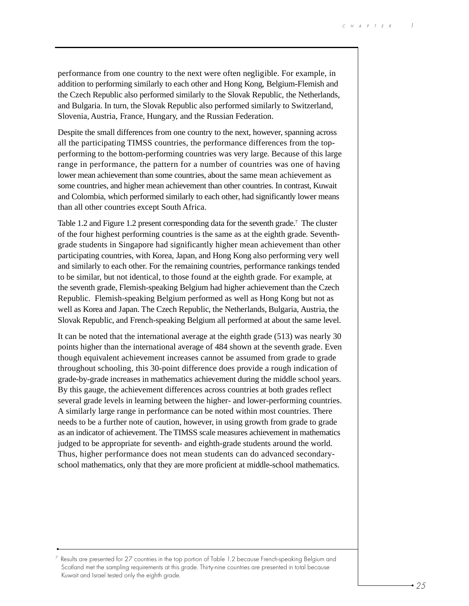performance from one country to the next were often negligible. For example, in addition to performing similarly to each other and Hong Kong, Belgium-Flemish and the Czech Republic also performed similarly to the Slovak Republic, the Netherlands, and Bulgaria. In turn, the Slovak Republic also performed similarly to Switzerland, Slovenia, Austria, France, Hungary, and the Russian Federation.

Despite the small differences from one country to the next, however, spanning across all the participating TIMSS countries, the performance differences from the topperforming to the bottom-performing countries was very large. Because of this large range in performance, the pattern for a number of countries was one of having lower mean achievement than some countries, about the same mean achievement as some countries, and higher mean achievement than other countries. In contrast, Kuwait and Colombia, which performed similarly to each other, had significantly lower means than all other countries except South Africa.

Table 1.2 and Figure 1.2 present corresponding data for the seventh grade.<sup>7</sup> The cluster of the four highest performing countries is the same as at the eighth grade. Seventhgrade students in Singapore had significantly higher mean achievement than other participating countries, with Korea, Japan, and Hong Kong also performing very well and similarly to each other. For the remaining countries, performance rankings tended to be similar, but not identical, to those found at the eighth grade. For example, at the seventh grade, Flemish-speaking Belgium had higher achievement than the Czech Republic. Flemish-speaking Belgium performed as well as Hong Kong but not as well as Korea and Japan. The Czech Republic, the Netherlands, Bulgaria, Austria, the Slovak Republic, and French-speaking Belgium all performed at about the same level.

It can be noted that the international average at the eighth grade (513) was nearly 30 points higher than the international average of 484 shown at the seventh grade. Even though equivalent achievement increases cannot be assumed from grade to grade throughout schooling, this 30-point difference does provide a rough indication of grade-by-grade increases in mathematics achievement during the middle school years. By this gauge, the achievement differences across countries at both grades reflect several grade levels in learning between the higher- and lower-performing countries. A similarly large range in performance can be noted within most countries. There needs to be a further note of caution, however, in using growth from grade to grade as an indicator of achievement. The TIMSS scale measures achievement in mathematics judged to be appropriate for seventh- and eighth-grade students around the world. Thus, higher performance does not mean students can do advanced secondaryschool mathematics, only that they are more proficient at middle-school mathematics.

 $7$  Results are presented for 27 countries in the top portion of Table 1.2 because French-speaking Belgium and Scotland met the sampling requirements at this grade. Thirty-nine countries are presented in total because Kuwait and Israel tested only the eighth grade.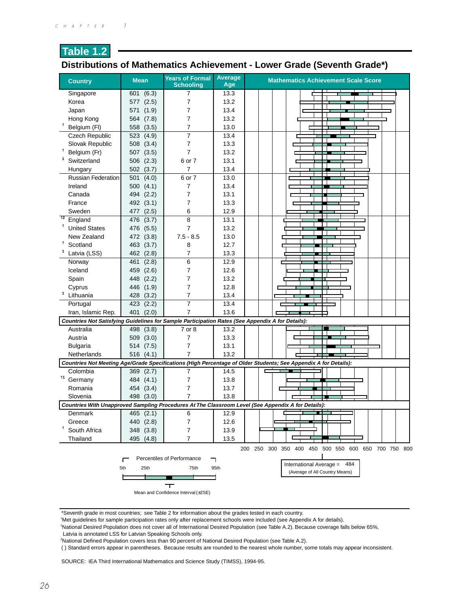## **Distributions of Mathematics Achievement - Lower Grade (Seventh Grade\*)**

| <b>Country</b>            | <b>Mean</b>        | <b>Years of Formal</b><br><b>Schooling</b> | Average<br>Age | <b>Mathematics Achievement Scale Score</b>                                                                      |
|---------------------------|--------------------|--------------------------------------------|----------------|-----------------------------------------------------------------------------------------------------------------|
| Singapore                 | 601<br>(6.3)       | 7                                          | 13.3           |                                                                                                                 |
| Korea                     | (2.5)<br>577       | 7                                          | 13.2           |                                                                                                                 |
| Japan                     | (1.9)<br>571       | 7                                          | 13.4           |                                                                                                                 |
| Hong Kong                 | (7.8)<br>564       | 7                                          | 13.2           |                                                                                                                 |
| Belgium (FI)              | (3.5)<br>558       | 7                                          | 13.0           |                                                                                                                 |
| Czech Republic            | 523<br>(4.9)       | 7                                          | 13.4           |                                                                                                                 |
| Slovak Republic           | (3.4)<br>508       | 7                                          | 13.3           |                                                                                                                 |
| Belgium (Fr)              | (3.5)<br>507       | 7                                          | 13.2           |                                                                                                                 |
| Switzerland               | 506<br>(2.3)       | 6 or 7                                     | 13.1           |                                                                                                                 |
| Hungary                   | 502 (3.7)          | 7                                          | 13.4           |                                                                                                                 |
| <b>Russian Federation</b> | 501<br>(4.0)       | 6 or 7                                     | 13.0           |                                                                                                                 |
| Ireland                   | 500(4.1)           | 7                                          | 13.4           |                                                                                                                 |
| Canada                    | (2.2)<br>494       | 7                                          | 13.1           | II.                                                                                                             |
| France                    | 492 (3.1)          | 7                                          | 13.3           |                                                                                                                 |
| Sweden                    | (2.5)<br>477       | 6                                          | 12.9           |                                                                                                                 |
| $+2$<br>England           | (3.7)<br>476       | 8                                          | 13.1           |                                                                                                                 |
| <b>United States</b>      | (5.5)<br>476       | 7                                          | 13.2           |                                                                                                                 |
| New Zealand               | 472 (3.8)          | $7.5 - 8.5$                                | 13.0           |                                                                                                                 |
| Ť.<br>Scotland            | 463<br>(3.7)       | 8                                          | 12.7           |                                                                                                                 |
| Latvia (LSS)              | 462<br>(2.8)       | 7                                          | 13.3           |                                                                                                                 |
| Norway                    | 461<br>(2.8)       | 6                                          | 12.9           |                                                                                                                 |
| Iceland                   | (2.6)<br>459       | 7                                          | 12.6           |                                                                                                                 |
| Spain                     | (2.2)<br>448       | 7                                          | 13.2           |                                                                                                                 |
| Cyprus                    | (1.9)<br>446       | 7                                          | 12.8           |                                                                                                                 |
| $\mathbf{1}$<br>Lithuania | (3.2)<br>428       | 7                                          | 13.4           |                                                                                                                 |
| Portugal                  | 423<br>(2.2)       | 7                                          | 13.4           |                                                                                                                 |
| Iran, Islamic Rep.        | (2.0)<br>401       | 7                                          | 13.6           |                                                                                                                 |
|                           |                    |                                            |                | Countries Not Satisfying Guidelines for Sample Participation Rates (See Appendix A for Details):                |
| Australia                 | 498<br>(3.8)       | 7 or 8                                     | 13.2           |                                                                                                                 |
| Austria                   | (3.0)<br>509       | 7                                          | 13.3           |                                                                                                                 |
| <b>Bulgaria</b>           | (7.5)<br>514       | 7                                          | 13.1           |                                                                                                                 |
| Netherlands               | 516<br>(4.1)       | 7                                          | 13.2           |                                                                                                                 |
|                           |                    |                                            |                | Countries Not Meeting Age/Grade Specifications (High Percentage of Older Students; See Appendix A for Details): |
| Colombia                  | 369<br>(2.7)       | 7                                          | 14.5           |                                                                                                                 |
| $\dagger$ 1<br>Germany    | 484<br>(4.1)       | 7                                          | 13.8           |                                                                                                                 |
| Romania                   | (3.4)<br>454       | 7                                          | 13.7           |                                                                                                                 |
| Slovenia                  | 498 (3.0)          | 7                                          | 13.8           |                                                                                                                 |
|                           |                    |                                            |                | Countries With Unapproved Sampling Procedures At The Classroom Level (See Appendix A for Details):              |
| Denmark                   | $\frac{465}{2}.1)$ | 6                                          | 12.9           |                                                                                                                 |
| Greece                    | 440 (2.8)          | 7                                          | 12.6           |                                                                                                                 |
| Ť<br>South Africa         | 348 (3.8)          | 7                                          | 13.9           |                                                                                                                 |
| Thailand                  | 495 (4.8)          | 7                                          | 13.5           |                                                                                                                 |
|                           |                    |                                            |                | 200 250 300 350 400 450 500 550 600 650 700 750 800                                                             |
|                           | г                  | Percentiles of Performance                 | ┑              |                                                                                                                 |
|                           | 5th<br>25th        | 75th                                       | 95th           | International Average = 484                                                                                     |
|                           |                    |                                            |                | (Average of All Country Means)                                                                                  |
|                           |                    |                                            |                |                                                                                                                 |
|                           |                    | Mean and Confidence Interval (±2SE)        |                |                                                                                                                 |

\*Seventh grade in most countries; see Table 2 for information about the grades tested in each country.

† Met guidelines for sample participation rates only after replacement schools were included (see Appendix A for details).

1 National Desired Population does not cover all of International Desired Population (see Table A.2). Because coverage falls below 65%,

Latvia is annotated LSS for Latvian Speaking Schools only.

2 National Defined Population covers less than 90 percent of National Desired Population (see Table A.2).

( ) Standard errors appear in parentheses. Because results are rounded to the nearest whole number, some totals may appear inconsistent.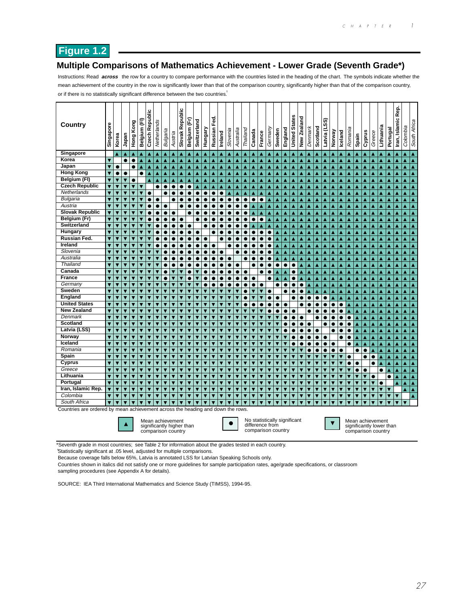## **Figure 1.2**

#### **Multiple Comparisons of Mathematics Achievement - Lower Grade (Seventh Grade\*)**

Instructions: Read **across** the row for a country to compare performance with the countries listed in the heading of the chart. The symbols indicate whether the mean achievement of the country in the row is significantly lower than that of the comparison country, significantly higher than that of the comparison country, or if there is no statistically significant difference between the two countries.<sup>†</sup>

| <b>Country</b>                                                                  | Singapore                    | Korea                                              | Japan                                              | Hong Kong               | Belgium (FI)                                       | <b>Czech Republic</b>   | Netherlands                                                         | Bulgaria                | Austria                                            | Republic<br>Slovak      | Belgium (Fr)                 | Switzerland | Hungary                                            | Fed.<br>Russian  | Ireland                                            | Slovenia                     | Australia                    | Thailand  | Canada                                                                | France                       | Germany                 | Sweden                  | England                 | <b>States</b><br>United: | New Zealand    | Denmark                 | Scotland                | ົດ<br>n<br>Latvia (L    | Norway                  | Iceland          | Romania        | Spain                                                              | Cyprus                  | Greece                  | Lithuania | Portugal                | Rep.<br>Iran, Islamic | Colombia                | South Africa     |
|---------------------------------------------------------------------------------|------------------------------|----------------------------------------------------|----------------------------------------------------|-------------------------|----------------------------------------------------|-------------------------|---------------------------------------------------------------------|-------------------------|----------------------------------------------------|-------------------------|------------------------------|-------------|----------------------------------------------------|------------------|----------------------------------------------------|------------------------------|------------------------------|-----------|-----------------------------------------------------------------------|------------------------------|-------------------------|-------------------------|-------------------------|--------------------------|----------------|-------------------------|-------------------------|-------------------------|-------------------------|------------------|----------------|--------------------------------------------------------------------|-------------------------|-------------------------|-----------|-------------------------|-----------------------|-------------------------|------------------|
| Singapore                                                                       |                              | ▲                                                  | ▲                                                  | Δ                       |                                                    | ▲                       | ▴                                                                   | ▲                       | ▲                                                  | ▲                       | ▲                            | Δ           | ▲                                                  | ▲                | ▲                                                  |                              | ▲                            |           |                                                                       | ▲                            | ▲                       |                         | ▲                       | ▲                        | Δ              |                         |                         |                         | ▴                       |                  | ▲              |                                                                    |                         | ▴                       |           |                         |                       |                         | ▲                |
| Korea                                                                           | $\overline{\textbf{v}}$      |                                                    | $\bullet$                                          | $\bullet$               | $\blacktriangle$                                   | ▲                       | Ā                                                                   | ▲                       | $\blacktriangle$                                   | $\blacktriangle$        | Δ                            | Ā           | ▲                                                  | ▲                | ▲                                                  | Δ                            | $\blacktriangle$             | Δ         | A                                                                     | Δ                            | Ā                       | A                       | ▲                       | Ā                        | Δ              | ▲                       |                         | ▲                       | ▲                       | ▲                | Δ              |                                                                    |                         | Δ                       | Ā         |                         | ▲                     | ▲                       | A                |
| Japan                                                                           | $\overline{\textbf{v}}$      | $\bullet$                                          |                                                    | $\bullet$               | Ā                                                  | Ā                       | Ā                                                                   | Ā                       | Ā                                                  | $\blacktriangle$        | Ā                            | Ā           | Ā                                                  | Ā                | Ā                                                  | Ā                            | Ā                            | ٨         | A                                                                     | Ā                            | Ā                       | Ā                       | Ā                       | Ā                        | Ā              | Ā                       | Ā                       | Ā                       | Ā                       | Ā                | Ā              | Ā                                                                  | Ā                       | Ā                       | Ā         | A                       | Ā                     | Ā                       | A                |
| <b>Hong Kong</b>                                                                | $\overline{\mathbf{v}}$      | $\bullet$                                          |                                                    |                         | $\bullet$                                          | ▲                       | A                                                                   | A                       | $\blacktriangle$                                   | A                       | A                            | Ā           | A                                                  | $\blacktriangle$ | Ā                                                  | Ā                            | $\blacktriangle$             | Ā         | A                                                                     | ▲                            | A                       | A                       | ▲                       | ▲                        | ٨              | Ā                       | ٨                       | A                       | Ā                       | Ā                | Δ              | Ā                                                                  | A                       | A                       | Ā         | A                       | Ā                     | A                       | A                |
| Belgium (FI)                                                                    | ▼                            | $\overline{\textbf{v}}$                            | $\overline{\textbf{v}}$                            | $\bullet$               |                                                    | ▲                       | ▲                                                                   | $\blacktriangle$        | $\blacktriangle$                                   | $\blacktriangle$        | ▲                            | ▲           | ▲                                                  | ▲                | $\blacktriangle$                                   | $\blacktriangle$             | $\blacktriangle$             | ▲         | $\blacktriangle$                                                      | $\blacktriangle$             | $\blacktriangle$        | ▲                       | $\blacktriangle$        | ▲                        | ▲              | $\blacktriangle$        | Ā                       | $\blacktriangle$        | ▲                       | $\blacktriangle$ | ▲              | Δ                                                                  | ▲                       | Ā                       | ▲         | ▲                       | ▲                     | $\blacktriangle$        | ▲                |
| <b>Czech Republic</b>                                                           | ▼                            | ▼                                                  | ▼                                                  | $\overline{\textbf{v}}$ | $\overline{\textbf{v}}$                            |                         | $\bullet$                                                           | $\bullet$               | $\bullet$                                          | $\bullet$               | $\bullet$                    | A           |                                                    | Δ                | ▲                                                  | Δ                            | ▲                            | Δ         | A                                                                     | ▲                            | ▲                       | ▲                       | ▲                       | ▲                        | Δ              | ▲                       | ٨                       | ▲                       | ▲                       | ▲                | ▲              | Δ                                                                  |                         | Δ                       | ٨         |                         | ▲                     | ▲                       | Δ                |
| Netherlands                                                                     | $\overline{\textbf{v}}$      | $\overline{\textbf{v}}$                            | ▼                                                  | $\overline{\textbf{v}}$ | $\overline{\textbf{v}}$                            | $\bullet$               |                                                                     | $\bullet$               | $\bullet$                                          | $\bullet$               | $\bullet$                    | ●           | $\bullet$                                          | $\bullet$        | $\bullet$                                          | Ā                            | A                            |           | A                                                                     | Δ                            | A                       | Ā                       | ٨                       |                          | ٨              | A                       | ٨                       | Ā                       |                         |                  |                | ٨                                                                  |                         | ٨                       |           |                         | Ā                     | ▲                       | Ā                |
| Bulgaria                                                                        | $\overline{\mathbf{v}}$      | $\overline{\textbf{v}}$                            | ▼                                                  |                         |                                                    |                         | $\bullet$                                                           |                         | $\bullet$                                          |                         |                              |             |                                                    |                  |                                                    | $\bullet$                    | $\bullet$                    | c         | $\bullet$                                                             | $\bullet$                    | ٨                       | Ā                       | Δ                       |                          | ٨              | ▲                       |                         | ▲                       | ٨                       |                  |                |                                                                    |                         |                         |           |                         | ▲                     | ▲                       | Ā                |
| Austria                                                                         | $\overline{\mathbf{v}}$      | $\overline{\textbf{v}}$                            | ▼                                                  | $\overline{\textbf{v}}$ | ▼                                                  | $\bullet$               | $\bullet$                                                           | $\bullet$               |                                                    |                         |                              | ●           | 0                                                  | ۰                | $\bullet$                                          | $\bullet$                    | $\bullet$                    | Ċ         | A                                                                     | ▲                            | Δ                       | Ā                       | Ā                       | Ā                        | ٨              | Ā                       | ٨                       | Ā                       | Ā                       | Ā                | Ā              | Ā                                                                  |                         | Ā                       | Ā         |                         | Ā                     | ▲                       | ▲                |
| <b>Slovak Republic</b>                                                          | $\overline{\mathbf{v}}$      | ▼                                                  | ▼                                                  |                         |                                                    | $\bullet$               | $\bullet$                                                           | $\bullet$               | $\bullet$                                          |                         | 0                            | ●           | $\bullet$                                          | ۰                | $\bullet$                                          | $\bullet$                    | $\bullet$                    | Ċ         | Ā                                                                     | ▲                            | Δ                       | ▲                       | Δ                       | ▲                        | Δ              | ▲                       | ٨                       | ▲                       | ▲                       | ▲                | ▲              | Δ                                                                  | A                       | Δ                       |           | A                       | ▲                     | ▲                       | ▲                |
| Belgium (Fr)                                                                    | ▼                            | $\overline{\textbf{v}}$                            | ▼                                                  | ▼                       | ▼                                                  | $\bullet$               | $\bullet$                                                           | $\bullet$               | $\bullet$                                          | $\bullet$               |                              | $\bullet$   | $\bullet$                                          | $\bullet$        | $\bullet$                                          | $\bullet$                    | $\bullet$                    | 0         | $\bullet$                                                             | $\bullet$                    | ▲                       | A                       | Δ                       | ▲                        | ▲              | ▲                       | ▲                       | ▲                       | ▲                       | ▲                | ▲              | ▲                                                                  | A                       | A                       | ۸         | A                       | ▲                     | ▲                       | ▲                |
| Switzerland                                                                     | $\overline{\mathbf{v}}$      | $\overline{\textbf{v}}$                            | ▼                                                  | v                       | $\overline{\mathbf{v}}$                            |                         | $\bullet$                                                           | $\bullet$               | $\bullet$                                          | $\bullet$               | $\bullet$                    |             |                                                    |                  | $\bullet$                                          | $\bullet$                    | $\bullet$                    | e         | Δ                                                                     | ▲                            | ▲                       | A                       | ▲                       | ▲                        | Δ              | ▲                       | Δ                       | ٨                       | ▲                       | ▲                | Δ              | ▴                                                                  | A                       | A                       |           | A                       | ▴                     | ▲                       | ▲                |
| Hungary                                                                         | $\overline{\mathbf{v}}$      | $\overline{\textbf{v}}$                            | $\overline{\textbf{v}}$                            | $\overline{\textbf{v}}$ | $\overline{\textbf{v}}$                            | ▼                       | $\bullet$                                                           | $\bullet$               | $\bullet$                                          | $\bullet$               | $\bullet$                    | ●           |                                                    | ٠                | $\bullet$                                          | $\bullet$                    | $\bullet$                    | $\bullet$ | $\bullet$                                                             | $\bullet$                    | $\bullet$               | A                       | Δ                       | ▲                        | ٨              | ▲                       | ▲                       | A                       | A                       | ▲                | ▲              | A                                                                  | A                       | A                       | ۸         | A                       | ▲                     | ▲                       | A                |
| Russian Fed.                                                                    | $\overline{\textbf{v}}$      | $\overline{\textbf{v}}$                            | ▼                                                  | ▼                       | $\overline{\textbf{v}}$                            | ▼                       | ●                                                                   | ●                       | $\bullet$                                          | $\bullet$               | $\bullet$                    | $\bullet$   | $\bullet$                                          |                  | $\bullet$                                          | $\bullet$                    |                              | e         | ●                                                                     | $\bullet$                    | $\bullet$               | A                       | ▲                       | ▲                        | ▲              | ▲                       |                         | Δ                       | ▴                       | ▲                | Δ              | ۸                                                                  | Δ                       | Δ                       |           | A                       | ▲                     | ▲                       | A                |
| Ireland                                                                         | $\overline{\textbf{v}}$      | $\overline{\textbf{v}}$                            | ▼                                                  | ▼                       | $\overline{\textbf{v}}$                            | $\overline{\textbf{v}}$ | $\bullet$                                                           | $\bullet$               | $\bullet$                                          | $\bullet$               | $\bullet$                    | $\bullet$   | $\bullet$                                          | $\bullet$        |                                                    | $\bullet$                    |                              | 0         | $\bullet$                                                             | $\bullet$                    | $\bullet$               | ▴                       | ▲                       | A                        | ▲              | ▲                       | ٨                       | A                       | A                       | ▲                | A              | A                                                                  | ▴                       | A                       |           | A                       | ▲                     | ▲                       | ▲                |
| Slovenia                                                                        | ▼                            | ▼                                                  | ▼                                                  | ▼                       | ▼                                                  |                         |                                                                     | $\bullet$               | $\bullet$                                          | $\bullet$               | $\bullet$                    | $\bullet$   | $\bullet$                                          | $\bullet$        | $\bullet$                                          |                              | $\bullet$                    | 0         | $\bullet$                                                             | $\bullet$                    | $\bullet$               | ▲                       | Δ                       | ▲                        | ▲              | ▲                       |                         | ▲                       | ▴                       | ▲                | Δ              | ▲                                                                  | ▲                       | ▲                       | ۸         | ▲                       | ▲                     | ▲                       | ▲                |
| Australia                                                                       | ▼                            | ▼                                                  | ▼                                                  | ▼                       | $\blacktriangledown$                               | $\overline{\textbf{v}}$ | ▼                                                                   | $\bullet$               | $\bullet$                                          | $\bullet$               | $\bullet$                    | $\bullet$   | $\bullet$                                          | $\bullet$        | $\bullet$                                          | $\bullet$                    |                              | 0         | $\bullet$                                                             | $\bullet$                    | $\bullet$               | ▲                       | Δ                       | ▲                        | ▲              | ▲                       | ٨                       | ▲                       | ▲                       | ▲                | ▲              | ▲                                                                  | ▲                       | ▲                       | ▴         | ▲                       | ▲                     | ▲                       | ▲                |
| Thailand                                                                        | ▼                            | ▼                                                  | ▼                                                  | $\overline{\textbf{v}}$ | $\overline{\textbf{v}}$                            | ▼                       |                                                                     |                         | $\bullet$                                          | $\bullet$               | $\bullet$                    |             | $\bullet$                                          |                  | $\bullet$                                          | $\bullet$                    | $\bullet$                    |           | $\bullet$                                                             | $\bullet$                    | $\bullet$               | $\bullet$               | $\bullet$               | $\bullet$                | Δ              | ▲                       |                         | A                       | ٨                       | Δ                | ▲              | Δ                                                                  | Δ                       |                         | ۸         | Δ                       | ▲                     | ▲                       | ▲                |
| Canada                                                                          | ▼                            | $\overline{\textbf{v}}$                            | ▼                                                  | ▼                       | $\overline{\textbf{v}}$                            | $\overline{\textbf{v}}$ | ▼                                                                   | $\bullet$               | $\overline{\textbf{v}}$                            | $\overline{\textbf{v}}$ | $\bullet$                    | ▼           | $\bullet$                                          | $\bullet$        | $\bullet$                                          | $\bullet$                    | $\bullet$                    | $\bullet$ |                                                                       | $\bullet$                    | $\bullet$               | ▲                       | Δ                       | $\bullet$                | ٨              | A                       | ▲                       | A                       | A                       | ▲                | ▲              | ▲                                                                  | A                       | A                       | ▲         | A                       | A                     | ▲                       | ▲                |
| <b>France</b>                                                                   | ▼                            | $\overline{\textbf{v}}$                            | ▼                                                  | $\overline{\textbf{v}}$ | ▼                                                  | $\overline{\textbf{v}}$ | ▼                                                                   | $\bullet$               | ▼                                                  | ▼                       | $\bullet$                    | ▼           | $\bullet$                                          |                  | $\bullet$                                          | $\bullet$                    | $\bullet$                    | $\bullet$ | $\bullet$                                                             |                              | $\bullet$               | ▲                       | Δ                       | $\bullet$                | ▲              | ▲                       | ٨                       | $\blacktriangle$        | ▲                       | ▲                | ▲              | ▲                                                                  | A                       | A                       | ▲         | A                       | ▲                     | ▲                       | ▲                |
| Germany                                                                         | ▼                            | ▼                                                  | ▼                                                  | ▼                       | ▼                                                  | $\overline{\textbf{v}}$ | ▼                                                                   | $\overline{\textbf{v}}$ | $\overline{\textbf{v}}$                            | ▼                       | ▼                            | ▼           | $\bullet$                                          | $\bullet$        | $\bullet$                                          | $\bullet$                    | $\bullet$                    | $\bullet$ | $\bullet$                                                             | $\bullet$                    |                         | $\bullet$               | $\bullet$               | $\bullet$                | $\bullet$      | ▲                       | ٨                       | ▲                       | ▲                       | ▲                | ▲              | ▲                                                                  |                         | ▲                       |           |                         | ▲                     | ▲                       | ▲                |
| Sweden                                                                          | ▼                            | ▼                                                  | $\overline{\textbf{v}}$                            | ▼                       | $\overline{\textbf{v}}$                            | $\overline{\textbf{v}}$ | ▼                                                                   | $\overline{\textbf{v}}$ | ▼                                                  | ▼                       | ▼                            | ▼           | $\overline{\textbf{v}}$                            | ▼                | $\overline{\textbf{v}}$                            | ▼                            | $\overline{\textbf{v}}$      | c         | ▼                                                                     | ▼                            | $\bullet$               |                         |                         | $\bullet$                | 0              |                         |                         |                         |                         |                  |                |                                                                    |                         |                         |           |                         | ٨                     | ▲                       | ▲                |
| England                                                                         | ▼                            | ▼                                                  | ▼                                                  |                         | ▼                                                  | $\overline{\textbf{v}}$ | ▼                                                                   | $\overline{\textbf{v}}$ | $\overline{\textbf{v}}$                            | ▼                       | $\overline{\textbf{v}}$      | ▼           | $\overline{\textbf{v}}$                            | ▼                | $\overline{\textbf{v}}$                            |                              | ▼                            | $\bullet$ | ▼                                                                     | ▼                            | $\bullet$               | $\bullet$               |                         | $\bullet$                | e              | $\bullet$               | $\bullet$               | $\bullet$               |                         |                  | ▲              | ▴                                                                  |                         | ▲                       |           |                         | ▲                     | ▲                       | ▲                |
| <b>United States</b><br><b>New Zealand</b>                                      |                              | ▼                                                  | $\overline{\textbf{v}}$                            |                         | $\overline{\textbf{v}}$                            | $\overline{\textbf{v}}$ | ▼                                                                   | $\overline{\textbf{v}}$ | ▼                                                  | $\overline{\textbf{v}}$ | $\overline{\textbf{v}}$      | ▼           | $\overline{\textbf{v}}$                            | ▼                | $\overline{\textbf{v}}$                            |                              | $\overline{\textbf{v}}$      | c         | $\bullet$                                                             |                              | $\bullet$               | $\bullet$               | $\bullet$               |                          | 0              | $\bullet$               | $\bullet$               | $\bullet$               | $\bullet$               | $\bullet$        |                |                                                                    |                         |                         |           |                         | ٨                     |                         | ▲                |
| Denmark                                                                         | ▼<br>$\overline{\textbf{v}}$ | $\overline{\textbf{v}}$<br>$\overline{\textbf{v}}$ | $\overline{\textbf{v}}$<br>$\overline{\textbf{v}}$ | v                       | $\overline{\textbf{v}}$<br>$\overline{\textbf{v}}$ | ▼<br>▼                  | ▼                                                                   | $\overline{\textbf{v}}$ | $\overline{\textbf{v}}$<br>$\overline{\textbf{v}}$ | ▼<br>▼                  | ▼                            | ▼           | $\overline{\textbf{v}}$<br>$\overline{\textbf{v}}$ | ▼                | $\overline{\textbf{v}}$<br>$\overline{\textbf{v}}$ | v<br>$\overline{\textbf{v}}$ | $\overline{\textbf{v}}$      | ▼         | ▼                                                                     | ▼<br>$\overline{\textbf{v}}$ | $\bullet$               |                         | $\bullet$               | $\bullet$                |                | ●                       | ●                       | $\bullet$<br>٠          | $\bullet$               | $\bullet$        |                | ▲                                                                  |                         | ▲                       |           |                         | ▲                     | ▲                       | A                |
| <b>Scotland</b>                                                                 | ▼                            | ▼                                                  | ▼                                                  | ▼                       | ▼                                                  | ▼                       | ▼<br>▼                                                              | $\overline{\textbf{v}}$ | ▼                                                  | ▼                       | $\overline{\textbf{v}}$<br>▼ | ۰<br>▼      | $\overline{\textbf{v}}$                            | ▼<br>▼           |                                                    |                              | $\overline{\textbf{v}}$<br>▼ |           | $\overline{\textbf{v}}$                                               | ▼                            | ▼                       |                         | 0<br>G                  | $\bullet$<br>$\bullet$   | $\bullet$<br>0 | $\bullet$               | e                       |                         |                         |                  | 0<br>$\bullet$ |                                                                    |                         | ▲                       |           |                         | ٨                     |                         | ▲                |
| Latvia (LSS)                                                                    | ▼                            | ▼                                                  | $\overline{\textbf{v}}$                            | v                       | ▼                                                  | $\overline{\textbf{v}}$ | ▼                                                                   |                         | ▼                                                  | ▼                       | ▼                            | ▼           | $\overline{\textbf{v}}$                            | ▼                |                                                    |                              | ▼                            |           |                                                                       | $\overline{\textbf{v}}$      | ▼                       |                         | 0                       |                          | $\bullet$      | $\bullet$               | $\bullet$               |                         | $\bullet$<br>$\bullet$  | $\bullet$        | $\bullet$      | ▲                                                                  | ▲                       | Ā                       | ٨         | ▲                       | ▲<br>▲                | ▲                       | ▲                |
| Norway                                                                          | ▼                            |                                                    | ▼                                                  |                         |                                                    | ▼                       |                                                                     |                         | v                                                  | ▼                       |                              |             | ▼                                                  |                  |                                                    |                              |                              |           |                                                                       | ▼                            |                         |                         |                         |                          | c              | $\bullet$               | e                       | $\bullet$               |                         | e                |                | Δ<br>Δ                                                             |                         | ▲                       |           |                         | ▲                     | ▲<br>▲                  | ▲<br>٨           |
| Iceland                                                                         |                              | ▼                                                  | ▼                                                  | v                       | ▼                                                  |                         | ▼                                                                   |                         | ▼                                                  | ▼                       | v                            |             | ▼                                                  | ۳                |                                                    |                              | ▼                            |           |                                                                       | $\overline{\textbf{v}}$      | $\overline{\textbf{v}}$ |                         |                         |                          |                | ●                       | c                       | $\bullet$               | $\bullet$               |                  | $\bullet$      |                                                                    |                         |                         |           |                         | ▲                     | ▲                       | ▲                |
| Romania                                                                         |                              | $\overline{\textbf{v}}$                            | ▼                                                  | ▼                       |                                                    | ▼                       | ▼                                                                   |                         | ▼                                                  | ▼                       | ▼                            | ▼           | ▼                                                  | ▼                |                                                    |                              | ▼                            |           | ▼                                                                     | ▼                            | ▼                       |                         | ▼                       | ▼                        |                | $\bullet$               | e                       | $\bullet$               | $\bullet$               | $\bullet$        |                | $\bullet$                                                          | $\bullet$               | ▲                       | Δ         | ▲                       | ▲                     | ▲                       | ▲                |
| Spain                                                                           |                              | ▼                                                  | ▼                                                  | $\overline{\textbf{v}}$ | ▼                                                  | ▼                       | ▼                                                                   | $\overline{\textbf{v}}$ | $\overline{\textbf{v}}$                            | $\overline{\textbf{v}}$ | ▼                            | ▼           | ▼                                                  | ▼                | $\overline{\textbf{v}}$                            | ▼                            | $\overline{\textbf{v}}$      | ▼         | ▼                                                                     | ▼                            | $\overline{\textbf{v}}$ | $\overline{\textbf{v}}$ | $\overline{\textbf{v}}$ | $\overline{\textbf{v}}$  | ▼              | ▼                       | ▼                       | $\overline{\textbf{v}}$ | ▼                       | ▼                | $\bullet$      |                                                                    | $\bullet$               | $\bullet$               | Ā         | ▲                       | ▲                     | ▲                       | $\blacktriangle$ |
| Cyprus                                                                          | ▼                            | ▼                                                  | ▼                                                  | $\overline{\textbf{v}}$ | $\overline{\textbf{v}}$                            | ▼                       | ▼                                                                   |                         | ▼                                                  | $\overline{\textbf{v}}$ | ▼                            | ▼           | $\overline{\textbf{v}}$                            | ▼                | $\overline{\textbf{v}}$                            | ▼                            | ▼                            |           |                                                                       | ▼                            | $\overline{\textbf{v}}$ | ▼                       | ▼                       | ▼                        |                | $\overline{\textbf{v}}$ | ▼                       | $\overline{\textbf{v}}$ | ▼                       | ▼                | $\bullet$      | $\bullet$                                                          |                         | $\bullet$               | A         | ▲                       | ▲                     | ▲                       | ▲                |
| Greece                                                                          | $\overline{\textbf{v}}$      | ▼                                                  | ▼                                                  | $\overline{\textbf{v}}$ | $\overline{\textbf{v}}$                            | ▼                       | ▼                                                                   | $\overline{\textbf{v}}$ | $\overline{\textbf{v}}$                            | $\overline{\textbf{v}}$ | ▼                            | ▼           | $\overline{\textbf{v}}$                            | ▼                | $\overline{\textbf{v}}$                            | ▼                            | $\overline{\textbf{v}}$      | ▼         | $\overline{\textbf{v}}$                                               | ▼                            | $\overline{\textbf{v}}$ | $\overline{\textbf{v}}$ | $\overline{\textbf{v}}$ | ▼                        | ▼              | ▼                       | ▼                       | $\overline{\textbf{v}}$ | ▼                       | ▼                | ▼              | $\bullet$                                                          | $\bullet$               |                         | $\bullet$ | A                       | Ā                     | Ā                       | A                |
| Lithuania                                                                       | $\overline{\textbf{v}}$      | ▼                                                  | $\overline{\textbf{v}}$                            | v                       |                                                    | ▼                       |                                                                     |                         | $\overline{\textbf{v}}$                            | $\overline{\textbf{v}}$ | ▼                            |             | $\overline{\textbf{v}}$                            | ▼                | $\overline{\textbf{v}}$                            | ▼                            | $\overline{\textbf{v}}$      |           |                                                                       | $\overline{\textbf{v}}$      | ▼                       |                         | ▼                       |                          |                | ▼                       |                         | $\overline{\textbf{v}}$ | $\overline{\textbf{v}}$ | ▼                | ▼              | $\overline{\textbf{v}}$                                            | $\overline{\textbf{v}}$ |                         |           | $\bullet$               | A                     | A                       | A                |
| Portugal                                                                        | $\overline{\textbf{v}}$      | $\overline{\textbf{v}}$                            | $\overline{\textbf{v}}$                            | $\overline{\textbf{v}}$ | $\overline{\textbf{v}}$                            | ▼                       | ▼                                                                   | $\overline{\textbf{v}}$ | $\overline{\textbf{v}}$                            | $\overline{\textbf{v}}$ | $\overline{\textbf{v}}$      | ▼           | $\overline{\textbf{v}}$                            | ▼                | $\overline{\textbf{v}}$                            | ▼                            | $\overline{\textbf{v}}$      | ▼         | $\overline{\textbf{v}}$                                               | $\overline{\textbf{v}}$      | $\overline{\textbf{v}}$ | $\overline{\textbf{v}}$ | ▼                       | ۰                        | ▼              | $\overline{\textbf{v}}$ | $\overline{\textbf{v}}$ | $\overline{\textbf{v}}$ | $\overline{\textbf{v}}$ | ▼                | ▼              | $\overline{\textbf{v}}$                                            | $\overline{\textbf{v}}$ | $\overline{\textbf{v}}$ | $\bullet$ |                         | Ā                     | A                       | A                |
| Iran, Islamic Rep.                                                              | $\overline{\mathbf{v}}$      | ▼                                                  | ▼                                                  | v                       | $\overline{\textbf{v}}$                            | ▼                       | ▼                                                                   | $\overline{\textbf{v}}$ | ▼                                                  | ▼                       | ▼                            | ▼           | $\overline{\textbf{v}}$                            | ▼                | $\overline{\textbf{v}}$                            | ▼                            | $\overline{\textbf{v}}$      | ▼         | $\overline{\textbf{v}}$                                               | ▼                            | ▼                       | $\overline{\textbf{v}}$ | ▼                       | ▼                        | ▼              | $\overline{\textbf{v}}$ | ▼                       | $\overline{\textbf{v}}$ | $\overline{\textbf{v}}$ | ▼                | ▼              | $\overline{\textbf{v}}$                                            | $\overline{\textbf{v}}$ | $\overline{\textbf{v}}$ | ▼         | $\overline{\textbf{v}}$ |                       | A                       | A                |
| Colombia                                                                        | ▼                            | ▼                                                  | ▼                                                  | ▼                       | $\overline{\textbf{v}}$                            | $\overline{\textbf{v}}$ | ▼                                                                   | ▼                       | $\overline{\textbf{v}}$                            | $\overline{\textbf{v}}$ | ▼                            | ▼           | $\overline{\textbf{v}}$                            | ▼                | $\overline{\mathbf{v}}$                            | ▼                            | $\overline{\textbf{v}}$      | ▼         | $\blacktriangledown$                                                  | ▼                            | ▼                       | $\overline{\textbf{v}}$ | ▼                       | ▼                        | ▼              | ▼                       | ▼                       | ▼                       | ▼                       | ▼                | ▼              | ▼                                                                  | $\overline{\textbf{v}}$ | $\overline{\textbf{v}}$ | ▼         | ▼                       | ▼                     |                         | ▲                |
| South Africa                                                                    |                              |                                                    |                                                    |                         |                                                    |                         |                                                                     |                         |                                                    |                         |                              |             |                                                    |                  |                                                    |                              |                              |           |                                                                       |                              |                         |                         |                         |                          |                |                         |                         |                         |                         |                  |                |                                                                    |                         |                         |           |                         |                       | $\overline{\textbf{v}}$ |                  |
| Countries are ordered by mean achievement across the heading and down the rows. |                              |                                                    |                                                    |                         |                                                    |                         |                                                                     |                         |                                                    |                         |                              |             |                                                    |                  |                                                    |                              |                              |           |                                                                       |                              |                         |                         |                         |                          |                |                         |                         |                         |                         |                  |                |                                                                    |                         |                         |           |                         |                       |                         |                  |
|                                                                                 |                              |                                                    | ▲                                                  |                         |                                                    |                         | Mean achievement<br>significantly higher than<br>comparison country |                         |                                                    |                         |                              |             |                                                    |                  |                                                    |                              |                              |           | No statistically significant<br>difference from<br>comparison country |                              |                         |                         |                         |                          |                |                         |                         |                         |                         |                  |                | Mean achievement<br>significantly lower than<br>comparison country |                         |                         |           |                         |                       |                         |                  |

\*Seventh grade in most countries; see Table 2 for information about the grades tested in each country.

† Statistically significant at .05 level, adjusted for multiple comparisons.

Because coverage falls below 65%, Latvia is annotated LSS for Latvian Speaking Schools only.

Countries shown in italics did not satisfy one or more guidelines for sample participation rates, age/grade specifications, or classroom sampling procedures (see Appendix A for details).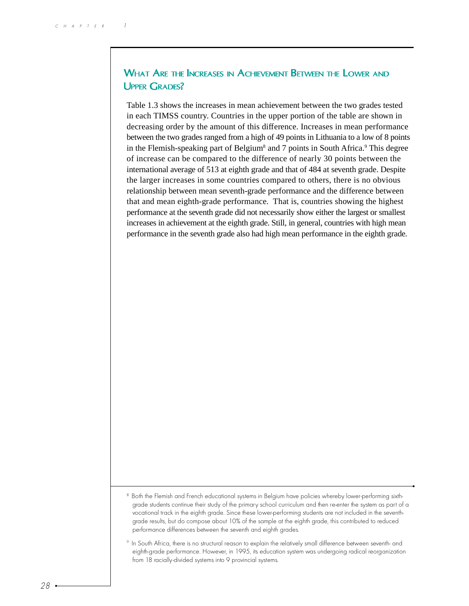## WHAT ARE THE INCREASES IN ACHIEVEMENT BETWEEN THE LOWER AND UPPER GRADES?

Table 1.3 shows the increases in mean achievement between the two grades tested in each TIMSS country. Countries in the upper portion of the table are shown in decreasing order by the amount of this difference. Increases in mean performance between the two grades ranged from a high of 49 points in Lithuania to a low of 8 points in the Flemish-speaking part of Belgium<sup>8</sup> and 7 points in South Africa.<sup>9</sup> This degree of increase can be compared to the difference of nearly 30 points between the international average of 513 at eighth grade and that of 484 at seventh grade. Despite the larger increases in some countries compared to others, there is no obvious relationship between mean seventh-grade performance and the difference between that and mean eighth-grade performance. That is, countries showing the highest performance at the seventh grade did not necessarily show either the largest or smallest increases in achievement at the eighth grade. Still, in general, countries with high mean performance in the seventh grade also had high mean performance in the eighth grade.

<sup>8</sup> Both the Flemish and French educational systems in Belgium have policies whereby lower-performing sixthgrade students continue their study of the primary school curriculum and then re-enter the system as part of a vocational track in the eighth grade. Since these lower-performing students are not included in the seventhgrade results, but do compose about 10% of the sample at the eighth grade, this contributed to reduced performance differences between the seventh and eighth grades.

<sup>9</sup> In South Africa, there is no structural reason to explain the relatively small difference between seventh- and eighth-grade performance. However, in 1995, its education system was undergoing radical reorganization from 18 racially-divided systems into 9 provincial systems.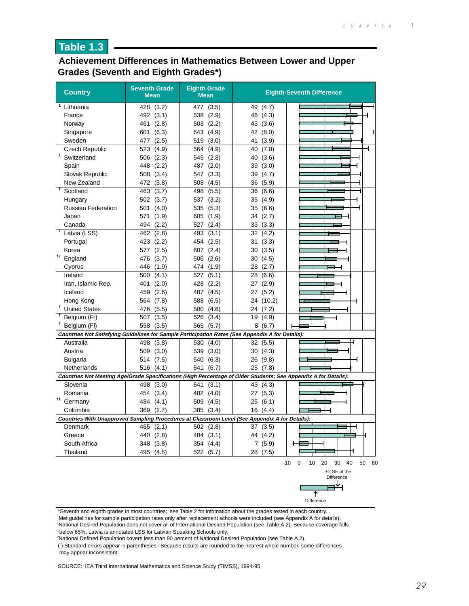## **Achievement Differences in Mathematics Between Lower and Upper Grades (Seventh and Eighth Grades\*)**

| <b>Country</b>                                                                                                  | <b>Seventh Grade</b><br><b>Mean</b> | <b>Eighth Grade</b><br><b>Mean</b> |             | <b>Eighth-Seventh Difference</b>            |
|-----------------------------------------------------------------------------------------------------------------|-------------------------------------|------------------------------------|-------------|---------------------------------------------|
| 1<br>Lithuania                                                                                                  | (3.2)<br>428                        | (3.5)<br>477                       | 49<br>(4.7) |                                             |
| France                                                                                                          | 492 (3.1)                           | 538<br>(2.9)                       | 46<br>(4.3) |                                             |
| Norway                                                                                                          | (2.8)<br>461                        | 503 (2.2)                          | 43 (3.6)    |                                             |
| Singapore                                                                                                       | (6.3)<br>601                        | 643 (4.9)                          | 42 (8.0)    |                                             |
| Sweden                                                                                                          | (2.5)<br>477                        | (3.0)<br>519                       | (3.9)<br>41 |                                             |
| <b>Czech Republic</b>                                                                                           | 523 (4.9)                           | 564 (4.9)                          | 40<br>(7.0) |                                             |
| 1<br>Switzerland                                                                                                | (2.3)<br>506                        | (2.8)<br>545                       | (3.6)<br>40 |                                             |
| Spain                                                                                                           | (2.2)<br>448                        | 487 (2.0)                          | 39<br>(3.0) |                                             |
| Slovak Republic                                                                                                 | 508 (3.4)                           | 547 (3.3)                          | 39<br>(4.7) |                                             |
| New Zealand                                                                                                     | 472 (3.8)                           | 508 (4.5)                          | 36<br>(5.9) |                                             |
| $\ddagger$<br>Scotland                                                                                          | 463<br>(3.7)                        | (5.5)<br>498                       | 36<br>(6.6) |                                             |
| Hungary                                                                                                         | 502 (3.7)                           | 537 (3.2)                          | 35 (4.9)    |                                             |
| <b>Russian Federation</b>                                                                                       | 501<br>(4.0)                        | 535 (5.3)                          | 35<br>(6.6) |                                             |
| Japan                                                                                                           | 571<br>(1.9)                        | 605 (1.9)                          | (2.7)<br>34 |                                             |
| Canada                                                                                                          | (2.2)<br>494                        | 527 (2.4)                          | 33<br>(3.3) |                                             |
| Latvia (LSS)                                                                                                    | (2.8)<br>462                        | 493<br>(3.1)                       | 32<br>(4.2) |                                             |
| Portugal                                                                                                        | 423<br>(2.2)                        | 454 (2.5)                          | 31<br>(3.3) |                                             |
| Korea                                                                                                           | (2.5)<br>577                        | 607 (2.4)                          | 30<br>(3.5) |                                             |
| †2<br>England                                                                                                   | 476<br>(3.7)                        | 506 (2.6)                          | 30<br>(4.5) |                                             |
| Cyprus                                                                                                          | 446<br>(1.9)                        | 474 (1.9)                          | 28<br>(2.7) |                                             |
| Ireland                                                                                                         | 500<br>(4.1)                        | (5.1)<br>527                       | 28<br>(6.6) |                                             |
| Iran, Islamic Rep.                                                                                              | 401<br>(2.0)                        | 428<br>(2.2)                       | (2.9)<br>27 |                                             |
| Iceland                                                                                                         | 459<br>(2.6)                        | 487 (4.5)                          | 27 (5.2)    |                                             |
| Hong Kong                                                                                                       | 564<br>(7.8)                        | 588 (6.5)                          | 24 (10.2)   |                                             |
| <sup>†</sup> United States                                                                                      | (5.5)<br>476                        | 500<br>(4.6)                       | 24 (7.2)    |                                             |
| Belgium (Fr)                                                                                                    | 507<br>(3.5)                        | 526<br>(3.4)                       | (4.9)<br>19 |                                             |
| <sup>T</sup> Belgium (FI)                                                                                       | 558 (3.5)                           | 565 (5.7)                          | 8(6.7)      |                                             |
| Countries Not Satisfying Guidelines for Sample Participation Rates (See Appendix A for Details):                |                                     |                                    |             |                                             |
| Australia                                                                                                       | 498 (3.8)                           | 530 (4.0)                          | 32 (5.5)    |                                             |
| Austria                                                                                                         | 509 (3.0)                           | 539 (3.0)                          | 30 (4.3)    |                                             |
| Bulgaria                                                                                                        | 514 (7.5)                           | 540<br>(6.3)                       | 26 (9.8)    |                                             |
| Netherlands                                                                                                     | 516 (4.1)                           | 541 (6.7)                          | 25 (7.8)    |                                             |
| Countries Not Meeting Age/Grade Specifications (High Percentage of Older Students; See Appendix A for Details): |                                     |                                    |             |                                             |
| Slovenia                                                                                                        | 498<br>(3.0)                        | 541<br>(3.1)                       | 43<br>(4.3) |                                             |
| Romania                                                                                                         | 454 (3.4)                           | 482 (4.0)                          | 27(5.3)     |                                             |
| <sup>†1</sup> Germany                                                                                           | 484 (4.1)                           | 509 (4.5)                          | (6.1)<br>25 |                                             |
| Colombia                                                                                                        | 369<br>(2.7)                        | 385<br>(3.4)                       | 16(4.4)     |                                             |
| Countries With Unapproved Sampling Procedures at Classroom Level (See Appendix A for Details):                  |                                     |                                    |             |                                             |
| Denmark                                                                                                         | 465 (2.1)                           | 502 (2.8)                          | 37 (3.5)    |                                             |
| Greece                                                                                                          | 440 (2.8)                           | 484 (3.1)                          | 44 (4.2)    |                                             |
| South Africa                                                                                                    | 348 (3.8)                           | 354 (4.4)                          | 7(5.9)      |                                             |
| Thailand                                                                                                        | 495 (4.8)                           | 522 (5.7)                          | 28 (7.5)    |                                             |
|                                                                                                                 |                                     |                                    |             | $-10$ 0<br>10<br>20<br>30<br>40<br>50<br>60 |
|                                                                                                                 |                                     |                                    |             | $±2$ SE of the<br>Difference                |
|                                                                                                                 |                                     |                                    |             | ▅┷                                          |

\*Seventh and eighth grades in most countries; see Table 2 for infomation about the grades tested in each country.

† Met guidelines for sample participation rates only after replacement schools were included (see Appendix A for details).

1 National Desired Population does not cover all of International Desired Population (see Table A.2). Because coverage falls below 65%, Latvia is annotated LSS for Latvian Speaking Schools only.

Difference

不

2 National Defined Population covers less than 90 percent of National Desired Population (see Table A.2).

( ) Standard errors appear in parentheses. Because results are rounded to the nearest whole number, some differences may appear inconsistent.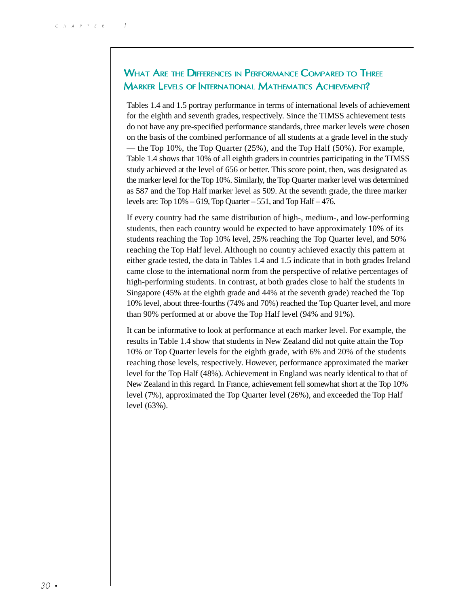# WHAT ARE THE DIFFERENCES IN PERFORMANCE COMPARED TO THREE MARKER LEVELS OF INTERNATIONAL MATHEMATICS ACHIEVEMENT?

Tables 1.4 and 1.5 portray performance in terms of international levels of achievement for the eighth and seventh grades, respectively. Since the TIMSS achievement tests do not have any pre-specified performance standards, three marker levels were chosen on the basis of the combined performance of all students at a grade level in the study — the Top 10%, the Top Quarter (25%), and the Top Half (50%). For example, Table 1.4 shows that 10% of all eighth graders in countries participating in the TIMSS study achieved at the level of 656 or better. This score point, then, was designated as the marker level for the Top 10%. Similarly, the Top Quarter marker level was determined as 587 and the Top Half marker level as 509. At the seventh grade, the three marker levels are: Top  $10\% - 619$ , Top Quarter – 551, and Top Half – 476.

If every country had the same distribution of high-, medium-, and low-performing students, then each country would be expected to have approximately 10% of its students reaching the Top 10% level, 25% reaching the Top Quarter level, and 50% reaching the Top Half level. Although no country achieved exactly this pattern at either grade tested, the data in Tables 1.4 and 1.5 indicate that in both grades Ireland came close to the international norm from the perspective of relative percentages of high-performing students. In contrast, at both grades close to half the students in Singapore (45% at the eighth grade and 44% at the seventh grade) reached the Top 10% level, about three-fourths (74% and 70%) reached the Top Quarter level, and more than 90% performed at or above the Top Half level (94% and 91%).

It can be informative to look at performance at each marker level. For example, the results in Table 1.4 show that students in New Zealand did not quite attain the Top 10% or Top Quarter levels for the eighth grade, with 6% and 20% of the students reaching those levels, respectively. However, performance approximated the marker level for the Top Half (48%). Achievement in England was nearly identical to that of New Zealand in this regard. In France, achievement fell somewhat short at the Top 10% level (7%), approximated the Top Quarter level (26%), and exceeded the Top Half level (63%).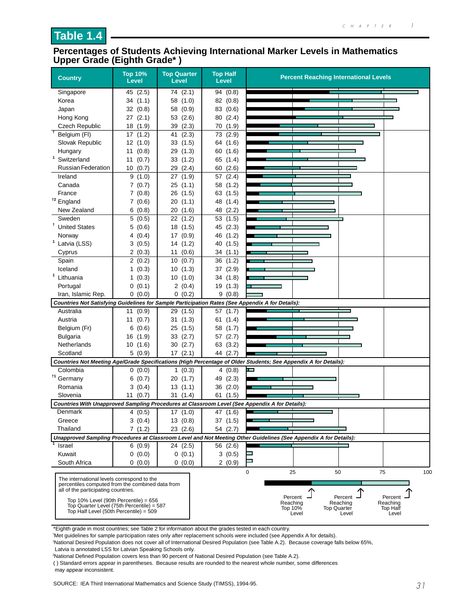#### **Percentages of Students Achieving International Marker Levels in Mathematics Upper Grade (Eighth Grade\* )**

| <b>Country</b>                                                                                                                                                                                                                                                           | <b>Top 10%</b><br><b>Level</b> | <b>Top Quarter</b><br><b>Level</b> | <b>Top Half</b><br>Level | <b>Percent Reaching International Levels</b>                                                                                                                            |
|--------------------------------------------------------------------------------------------------------------------------------------------------------------------------------------------------------------------------------------------------------------------------|--------------------------------|------------------------------------|--------------------------|-------------------------------------------------------------------------------------------------------------------------------------------------------------------------|
| Singapore                                                                                                                                                                                                                                                                | 45 (2.5)                       | 74 (2.1)                           | 94 (0.8)                 |                                                                                                                                                                         |
| Korea                                                                                                                                                                                                                                                                    | 34(1.1)                        | 58<br>(1.0)                        | 82<br>(0.8)              |                                                                                                                                                                         |
| Japan                                                                                                                                                                                                                                                                    | 32(0.8)                        | 58 (0.9)                           | 83 (0.6)                 |                                                                                                                                                                         |
| Hong Kong                                                                                                                                                                                                                                                                | 27(2.1)                        | 53 (2.6)                           | 80 (2.4)                 |                                                                                                                                                                         |
| <b>Czech Republic</b>                                                                                                                                                                                                                                                    | 18 (1.9)                       | 39<br>(2.3)                        | 70 (1.9)                 |                                                                                                                                                                         |
| $\ddagger$<br>Belgium (FI)                                                                                                                                                                                                                                               | 17(1.2)                        | 41(2.3)                            | 73 (2.9)                 |                                                                                                                                                                         |
| Slovak Republic                                                                                                                                                                                                                                                          | 12(1.0)                        | 33 (1.5)                           | 64 (1.6)                 |                                                                                                                                                                         |
| Hungary                                                                                                                                                                                                                                                                  | (0.8)<br>11                    | (1.3)<br>29                        | (1.6)<br>60              |                                                                                                                                                                         |
| $\mathbf{1}$<br>Switzerland                                                                                                                                                                                                                                              | 11<br>(0.7)                    | (1.2)<br>33                        | 65 (1.4)                 |                                                                                                                                                                         |
| <b>Russian Federation</b>                                                                                                                                                                                                                                                | 10(0.7)                        | 29 (2.4)                           | (2.6)<br>60              |                                                                                                                                                                         |
| Ireland                                                                                                                                                                                                                                                                  | 9(1.0)                         | (1.9)<br>27                        | 57 (2.4)                 |                                                                                                                                                                         |
| Canada                                                                                                                                                                                                                                                                   | 7(0.7)                         | 25(1.1)                            | 58 (1.2)                 |                                                                                                                                                                         |
| France                                                                                                                                                                                                                                                                   | 7(0.8)                         | 26 (1.5)                           | 63 (1.5)                 |                                                                                                                                                                         |
| <sup>t2</sup> England                                                                                                                                                                                                                                                    | 7(0.6)                         | (1.1)<br>20                        | 48<br>(1.4)              |                                                                                                                                                                         |
| New Zealand                                                                                                                                                                                                                                                              | 6(0.8)                         | 20(1.6)                            | 48 (2.2)                 |                                                                                                                                                                         |
| Sweden                                                                                                                                                                                                                                                                   | 5(0.5)                         | 22 (1.2)                           | 53<br>(1.5)              |                                                                                                                                                                         |
| <sup>†</sup> United States                                                                                                                                                                                                                                               | 5(0.6)                         | 18 (1.5)                           | 45 (2.3)                 |                                                                                                                                                                         |
| Norway                                                                                                                                                                                                                                                                   | 4 (0.4)                        | 17(0.9)                            | 46 (1.2)                 |                                                                                                                                                                         |
| <sup>1</sup> Latvia (LSS)                                                                                                                                                                                                                                                | 3(0.5)                         | 14 (1.2)                           | (1.5)<br>40              |                                                                                                                                                                         |
| Cyprus                                                                                                                                                                                                                                                                   | 2(0.3)                         | (0.6)<br>11                        | (1.1)<br>34              |                                                                                                                                                                         |
| Spain                                                                                                                                                                                                                                                                    | 2(0.2)                         | 10<br>(0.7)                        | 36<br>(1.2)              |                                                                                                                                                                         |
| Iceland<br>$\mathbf{1}$                                                                                                                                                                                                                                                  | 1(0.3)                         | 10(1.3)                            | 37 (2.9)                 |                                                                                                                                                                         |
| Lithuania                                                                                                                                                                                                                                                                | (0.3)<br>1.                    | 10(1.0)                            | 34(1.8)                  |                                                                                                                                                                         |
| Portugal                                                                                                                                                                                                                                                                 | 0(0.1)                         | 2(0.4)                             | 19 (1.3)                 |                                                                                                                                                                         |
| Iran, Islamic Rep.                                                                                                                                                                                                                                                       | 0(0.0)                         | 0(0.2)                             | 9(0.8)                   |                                                                                                                                                                         |
| Countries Not Satisfying Guidelines for Sample Participation Rates (See Appendix A for Details):                                                                                                                                                                         |                                |                                    |                          |                                                                                                                                                                         |
| Australia                                                                                                                                                                                                                                                                | (0.9)<br>11                    | 29 (1.5)                           | (1.7)<br>57<br>61(1.4)   |                                                                                                                                                                         |
| Austria                                                                                                                                                                                                                                                                  | 11 $(0.7)$<br>(0.6)<br>6       | 31(1.3)<br>(1.5)<br>25             | (1.7)<br>58              |                                                                                                                                                                         |
| Belgium (Fr)<br><b>Bulgaria</b>                                                                                                                                                                                                                                          | (1.9)<br>16                    | 33(2.7)                            | 57 (2.7)                 |                                                                                                                                                                         |
| Netherlands                                                                                                                                                                                                                                                              | (1.6)<br>10                    | 30(2.7)                            | 63 (3.2)                 |                                                                                                                                                                         |
| Scotland                                                                                                                                                                                                                                                                 | 5(0.9)                         | 17(2.1)                            | 44 (2.7)                 |                                                                                                                                                                         |
|                                                                                                                                                                                                                                                                          |                                |                                    |                          | Countries Not Meeting Age/Grade Specifications (High Percentage of Older Students; See Appendix A for Details):                                                         |
| Colombia                                                                                                                                                                                                                                                                 | 0(0.0)                         | 1(0.3)                             | 4(0.8)                   | E                                                                                                                                                                       |
| <sup>†1</sup> Germany                                                                                                                                                                                                                                                    | 6(0.7)                         | 20 (1.7)                           | 49 (2.3)                 |                                                                                                                                                                         |
| Romania                                                                                                                                                                                                                                                                  | 3(0.4)                         | 13(1.1)                            | 36 (2.0)                 |                                                                                                                                                                         |
| Slovenia                                                                                                                                                                                                                                                                 | 11<br>(0.7)                    | 31(1.4)                            | 61<br>(1.5)              |                                                                                                                                                                         |
|                                                                                                                                                                                                                                                                          |                                |                                    |                          | Countries With Unapproved Sampling Procedures at Classroom Level (See Appendix A for Details):                                                                          |
| Denmark                                                                                                                                                                                                                                                                  | 4(0.5)                         | 17(1.0)                            | 47<br>(1.6)              |                                                                                                                                                                         |
| Greece                                                                                                                                                                                                                                                                   | 3(0.4)                         | 13(0.8)                            | 37 (1.5)                 |                                                                                                                                                                         |
| Thailand                                                                                                                                                                                                                                                                 | 7(1.2)                         | 23(2.6)                            | 54 (2.7)                 |                                                                                                                                                                         |
|                                                                                                                                                                                                                                                                          |                                |                                    |                          | Unapproved Sampling Procedures at Classroom Level and Not Meeting Other Guidelines (See Appendix A for Details):                                                        |
| Israel                                                                                                                                                                                                                                                                   | 6(0.9)                         | 24 (2.5)                           | 56 (2.6)                 |                                                                                                                                                                         |
| Kuwait                                                                                                                                                                                                                                                                   | 0(0.0)                         | 0(0.1)                             | 3(0.5)                   |                                                                                                                                                                         |
| South Africa                                                                                                                                                                                                                                                             | 0(0.0)                         | 0(0.0)                             | 2(0.9)                   |                                                                                                                                                                         |
| The international levels correspond to the<br>percentiles computed from the combined data from<br>all of the participating countries.<br>Top $10\%$ Level (90th Percentile) = 656<br>Top Quarter Level (75th Percentile) = 587<br>Top Half Level (50th Percentile) = 509 |                                |                                    |                          | 0<br>50<br>75<br>25<br>100<br>Percent<br>Percent<br>Percent<br>Reaching<br>Reaching<br>Reaching<br>Top 10%<br><b>Top Quarter</b><br>Top Half<br>Level<br>Level<br>Level |

\*Eighth grade in most countries; see Table 2 for information about the grades tested in each country.

† Met guidelines for sample participation rates only after replacement schools were included (see Appendix A for details).

1 National Desired Population does not cover all of International Desired Population (see Table A.2). Because coverage falls below 65%, Latvia is annotated LSS for Latvian Speaking Schools only.

2 National Defined Population covers less than 90 percent of National Desired Population (see Table A.2).

( ) Standard errors appear in parentheses. Because results are rounded to the nearest whole number, some differences may appear inconsistent.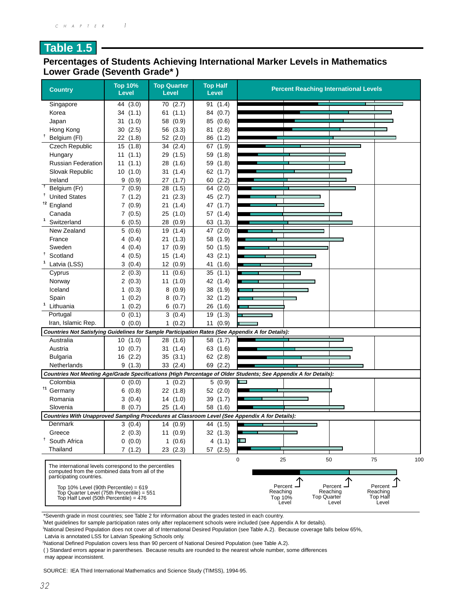## **Percentages of Students Achieving International Marker Levels in Mathematics Lower Grade (Seventh Grade\* )**

| <b>Country</b>                                                                                                                                                                                                                                                               | <b>Top 10%</b><br><b>Level</b> | <b>Top Quarter</b><br><b>Level</b> | <b>Top Half</b><br><b>Level</b> | <b>Percent Reaching International Levels</b>                                                                                                                                                       |
|------------------------------------------------------------------------------------------------------------------------------------------------------------------------------------------------------------------------------------------------------------------------------|--------------------------------|------------------------------------|---------------------------------|----------------------------------------------------------------------------------------------------------------------------------------------------------------------------------------------------|
| Singapore                                                                                                                                                                                                                                                                    | 44 (3.0)                       | 70 (2.7)                           | 91 (1.4)                        |                                                                                                                                                                                                    |
| Korea                                                                                                                                                                                                                                                                        | (1.1)<br>34                    | 61<br>(1.1)                        | 84 (0.7)                        |                                                                                                                                                                                                    |
| Japan                                                                                                                                                                                                                                                                        | (1.0)<br>31                    | 58<br>(0.9)                        | (0.6)<br>85                     |                                                                                                                                                                                                    |
| Hong Kong                                                                                                                                                                                                                                                                    | (2.5)<br>30                    | (3.3)<br>56                        | 81 (2.8)                        |                                                                                                                                                                                                    |
| t<br>Belgium (FI)                                                                                                                                                                                                                                                            | 22(1.8)                        | 52 (2.0)                           | 86(1.2)                         |                                                                                                                                                                                                    |
| <b>Czech Republic</b>                                                                                                                                                                                                                                                        | 15<br>(1.8)                    | (2.4)<br>34                        | 67 (1.9)                        |                                                                                                                                                                                                    |
| Hungary                                                                                                                                                                                                                                                                      | 11<br>(1.1)                    | (1.5)<br>29                        | 59 (1.8)                        |                                                                                                                                                                                                    |
| <b>Russian Federation</b>                                                                                                                                                                                                                                                    | (1.1)<br>11                    | 28<br>(1.6)                        | (1.8)<br>59                     |                                                                                                                                                                                                    |
| Slovak Republic                                                                                                                                                                                                                                                              | 10(1.0)                        | (1.4)<br>31                        | (1.7)<br>62                     |                                                                                                                                                                                                    |
| Ireland                                                                                                                                                                                                                                                                      | 9(0.9)                         | 27<br>(1.7)                        | (2.2)<br>60                     |                                                                                                                                                                                                    |
| $\ddagger$<br>Belgium (Fr)                                                                                                                                                                                                                                                   | 7(0.9)                         | (1.5)<br>28                        | (2.0)<br>64                     |                                                                                                                                                                                                    |
| Ť<br><b>United States</b>                                                                                                                                                                                                                                                    | 7(1.2)                         | 21<br>(2.3)                        | (2.7)<br>45                     |                                                                                                                                                                                                    |
| <sup>t2</sup> England                                                                                                                                                                                                                                                        | 7(0.9)                         | 21<br>(1.4)                        | 47<br>(1.7)                     |                                                                                                                                                                                                    |
| Canada                                                                                                                                                                                                                                                                       | 7(0.5)                         | 25 (1.0)                           | 57<br>(1.4)                     |                                                                                                                                                                                                    |
| 1<br>Switzerland                                                                                                                                                                                                                                                             | (0.5)<br>6                     | 28<br>(0.9)                        | 63<br>(1.3)                     |                                                                                                                                                                                                    |
| New Zealand                                                                                                                                                                                                                                                                  | 5(0.6)                         | 19<br>(1.4)                        | 47<br>(2.0)                     |                                                                                                                                                                                                    |
| France                                                                                                                                                                                                                                                                       | 4(0.4)                         | 21(1.3)                            | 58 (1.9)                        |                                                                                                                                                                                                    |
| Sweden                                                                                                                                                                                                                                                                       | 4(0.4)                         | 17 (0.9)                           | 50(1.5)                         |                                                                                                                                                                                                    |
| Ť.<br>Scotland                                                                                                                                                                                                                                                               | 4(0.5)                         | 15(1.4)                            | 43 (2.1)                        |                                                                                                                                                                                                    |
| Latvia (LSS)                                                                                                                                                                                                                                                                 | 3(0.4)                         | 12 (0.9)                           | (1.6)<br>41                     |                                                                                                                                                                                                    |
| Cyprus                                                                                                                                                                                                                                                                       | 2(0.3)                         | 11<br>(0.6)                        | (1.1)<br>35                     |                                                                                                                                                                                                    |
| Norway                                                                                                                                                                                                                                                                       | 2(0.3)                         | 11(1.0)                            | 42 (1.4)                        |                                                                                                                                                                                                    |
| Iceland                                                                                                                                                                                                                                                                      | 1(0.3)                         | 8(0.9)                             | 38 (1.9)                        |                                                                                                                                                                                                    |
| Spain                                                                                                                                                                                                                                                                        | 1(0.2)                         | 8(0.7)                             | 32 (1.2)                        |                                                                                                                                                                                                    |
| 1<br>Lithuania                                                                                                                                                                                                                                                               | 1(0.2)                         | 6(0.7)                             | 26(1.6)                         |                                                                                                                                                                                                    |
| Portugal                                                                                                                                                                                                                                                                     | 0(0.1)                         | 3(0.4)                             | 19<br>(1.3)                     |                                                                                                                                                                                                    |
| Iran, Islamic Rep.                                                                                                                                                                                                                                                           | 0(0.0)                         | 1(0.2)                             | (0.9)<br>11                     |                                                                                                                                                                                                    |
| Countries Not Satisfying Guidelines for Sample Participation Rates (See Appendix A for Details):                                                                                                                                                                             |                                |                                    |                                 |                                                                                                                                                                                                    |
| Australia                                                                                                                                                                                                                                                                    | 10(1.0)                        | 28 (1.6)                           | (1.7)<br>58                     |                                                                                                                                                                                                    |
| Austria                                                                                                                                                                                                                                                                      | 10(0.7)                        | 31(1.4)                            | 63 (1.6)                        |                                                                                                                                                                                                    |
| <b>Bulgaria</b>                                                                                                                                                                                                                                                              | 16(2.2)                        | 35(3.1)                            | 62(2.8)                         |                                                                                                                                                                                                    |
| Netherlands                                                                                                                                                                                                                                                                  | 9(1.3)                         | 33 (2.4)                           | 69 (2.2)                        |                                                                                                                                                                                                    |
|                                                                                                                                                                                                                                                                              |                                |                                    |                                 | Countries Not Meeting Age/Grade Specifications (High Percentage of Older Students; See Appendix A for Details):                                                                                    |
| Colombia                                                                                                                                                                                                                                                                     | 0(0.0)                         | 1(0.2)                             | 5(0.9)                          |                                                                                                                                                                                                    |
| $\dagger$ 1<br>Germany                                                                                                                                                                                                                                                       | 6(0.8)                         | 22(1.8)                            | 52(2.0)                         |                                                                                                                                                                                                    |
| Romania                                                                                                                                                                                                                                                                      | 3(0.4)                         | 14 (1.0)                           | 39 (1.7)                        |                                                                                                                                                                                                    |
| Slovenia                                                                                                                                                                                                                                                                     | 8(0.7)                         | 25 (1.4)                           | 58<br>(1.6)                     |                                                                                                                                                                                                    |
| Countries With Unapproved Sampling Procedures at Classroom Level (See Appendix A for Details):                                                                                                                                                                               |                                |                                    |                                 |                                                                                                                                                                                                    |
| Denmark                                                                                                                                                                                                                                                                      | 3(0.4)                         | 14(0.9)                            | 44 (1.5)                        |                                                                                                                                                                                                    |
| Greece                                                                                                                                                                                                                                                                       | 2(0.3)                         | 11(0.9)                            | 32(1.3)                         |                                                                                                                                                                                                    |
| Ť<br>South Africa                                                                                                                                                                                                                                                            | 0(0.0)                         | 1(0.6)                             | 4(1.1)                          |                                                                                                                                                                                                    |
| Thailand                                                                                                                                                                                                                                                                     | 7(1.2)                         | 23(2.3)                            | 57 (2.5)                        |                                                                                                                                                                                                    |
| The international levels correspond to the percentiles<br>computed from the combined data from all of the<br>participating countries.<br>Top $10\%$ Level (90th Percentile) = $619$<br>Top Quarter Level (75th Percentile) = 551<br>Top Half Level (50th Percentile) = $476$ |                                |                                    |                                 | 0<br>25<br>50<br>75<br>100<br>Percent $\overline{\phantom{a}}$<br>Percent -<br>Percent<br>Reaching<br>Reaching<br>Reaching<br>Top Half<br><b>Top Quarter</b><br>Top 10%<br>Level<br>Level<br>Level |

\*Seventh grade in most countries; see Table 2 for information about the grades tested in each country.

† Met guidelines for sample participation rates only after replacement schools were included (see Appendix A for details).

1 National Desired Population does not cover all of International Desired Population (see Table A.2). Because coverage falls below 65%,

Latvia is annotated LSS for Latvian Speaking Schools only.

2 National Defined Population covers less than 90 percent of National Desired Population (see Table A.2).

( ) Standard errors appear in parentheses. Because results are rounded to the nearest whole number, some differences may appear inconsistent.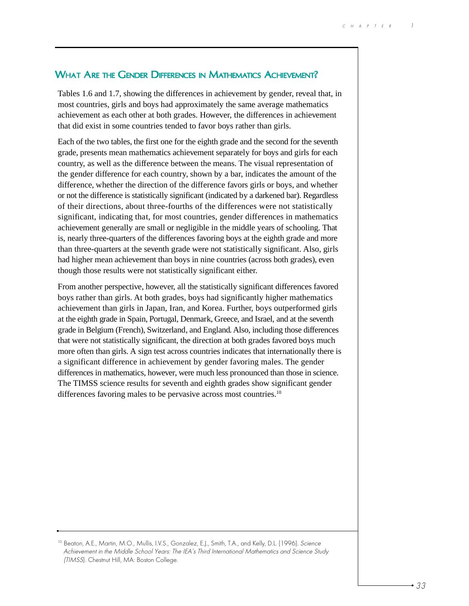## WHAT ARE THE GENDER DIFFERENCES IN MATHEMATICS ACHIEVEMENT?

Tables 1.6 and 1.7, showing the differences in achievement by gender, reveal that, in most countries, girls and boys had approximately the same average mathematics achievement as each other at both grades. However, the differences in achievement that did exist in some countries tended to favor boys rather than girls.

Each of the two tables, the first one for the eighth grade and the second for the seventh grade, presents mean mathematics achievement separately for boys and girls for each country, as well as the difference between the means. The visual representation of the gender difference for each country, shown by a bar, indicates the amount of the difference, whether the direction of the difference favors girls or boys, and whether or not the difference is statistically significant (indicated by a darkened bar). Regardless of their directions, about three-fourths of the differences were not statistically significant, indicating that, for most countries, gender differences in mathematics achievement generally are small or negligible in the middle years of schooling. That is, nearly three-quarters of the differences favoring boys at the eighth grade and more than three-quarters at the seventh grade were not statistically significant. Also, girls had higher mean achievement than boys in nine countries (across both grades), even though those results were not statistically significant either.

From another perspective, however, all the statistically significant differences favored boys rather than girls. At both grades, boys had significantly higher mathematics achievement than girls in Japan, Iran, and Korea. Further, boys outperformed girls at the eighth grade in Spain, Portugal, Denmark, Greece, and Israel, and at the seventh grade in Belgium (French), Switzerland, and England. Also, including those differences that were not statistically significant, the direction at both grades favored boys much more often than girls. A sign test across countries indicates that internationally there is a significant difference in achievement by gender favoring males. The gender differences in mathematics, however, were much less pronounced than those in science. The TIMSS science results for seventh and eighth grades show significant gender differences favoring males to be pervasive across most countries.<sup>10</sup>

10 Beaton, A.E., Martin, M.O., Mullis, I.V.S., Gonzalez, E.J., Smith, T.A., and Kelly, D.L. (1996). Science Achievement in the Middle School Years: The IEA's Third International Mathematics and Science Study (TIMSS). Chestnut Hill, MA: Boston College.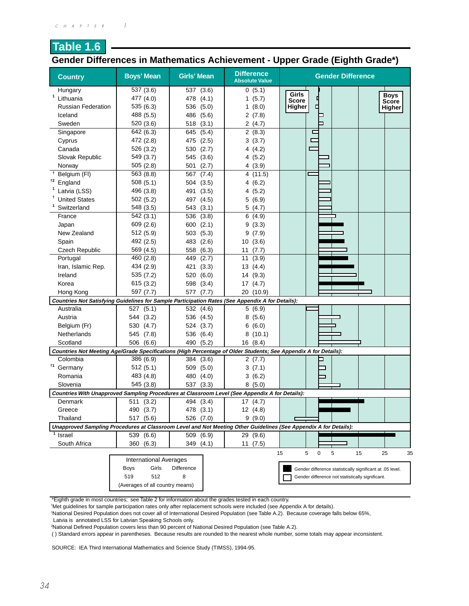## **Table 1.6 Gender Differences in Mathematics Achievement - Upper Grade (Eighth Grade\*)**

| <b>Country</b>                                                                                                  | <b>Boys' Mean</b>               | <b>Girls' Mean</b> | <b>Difference</b><br><b>Absolute Value</b> | <b>Gender Difference</b>                                                                                         |
|-----------------------------------------------------------------------------------------------------------------|---------------------------------|--------------------|--------------------------------------------|------------------------------------------------------------------------------------------------------------------|
| Hungary                                                                                                         | 537 (3.6)                       | 537 (3.6)          | 0(5.1)                                     |                                                                                                                  |
| $\mathbf{1}$<br>Lithuania                                                                                       | 477 (4.0)                       | (4.1)<br>478       | 1(5.7)                                     | Girls<br><b>Boys</b><br>Score<br>Score                                                                           |
| <b>Russian Federation</b>                                                                                       | 535 (6.3)                       | 536<br>(5.0)       | (8.0)<br>1                                 | Higher<br>о<br><b>Higher</b>                                                                                     |
| Iceland                                                                                                         | 488 (5.5)                       | 486 (5.6)          | 2(7.8)                                     |                                                                                                                  |
| Sweden                                                                                                          | 520 (3.6)                       | 518<br>(3.1)       | 2(4.7)                                     | ⊐                                                                                                                |
| Singapore                                                                                                       | 642 (6.3)                       | (5.4)<br>645       | 2(8.3)                                     |                                                                                                                  |
| Cyprus                                                                                                          | 472 (2.8)                       | 475<br>(2.5)       | 3(3.7)                                     |                                                                                                                  |
| Canada                                                                                                          | 526 (3.2)                       | (2.7)<br>530       | 4(4.2)                                     |                                                                                                                  |
| Slovak Republic                                                                                                 | 549 (3.7)                       | 545<br>(3.6)       | 4(5.2)                                     |                                                                                                                  |
| Norway                                                                                                          | 505(2.8)                        | (2.7)<br>501       | 4(3.9)                                     |                                                                                                                  |
| t.<br>Belgium (FI)                                                                                              | $\overline{5}63(8.8)$           | 567<br>(7.4)       | 4(11.5)                                    |                                                                                                                  |
| †2<br>England                                                                                                   | 508(5.1)                        | 504<br>(3.5)       | (6.2)<br>4                                 |                                                                                                                  |
| Latvia (LSS)                                                                                                    | 496 (3.8)                       | 491<br>(3.5)       | (5.2)<br>4                                 |                                                                                                                  |
| <b>United States</b>                                                                                            | 502 (5.2)                       | 497 (4.5)          | 5(6.9)                                     |                                                                                                                  |
| Switzerland                                                                                                     | 548 (3.5)                       | (3.1)<br>543       | 5(4.7)                                     |                                                                                                                  |
| France                                                                                                          | 542(3.1)                        | 536 (3.8)          | 6(4.9)                                     |                                                                                                                  |
| Japan                                                                                                           | 609(2.6)                        | (2.1)<br>600       | (3.3)<br>9                                 |                                                                                                                  |
| New Zealand                                                                                                     | 512 (5.9)                       | 503<br>(5.3)       | 9<br>(7.9)                                 |                                                                                                                  |
| Spain                                                                                                           | 492 (2.5)                       | 483 (2.6)          | (3.6)<br>10                                |                                                                                                                  |
| Czech Republic                                                                                                  | 569 (4.5)                       | (6.3)<br>558       | 11<br>(7.7)                                |                                                                                                                  |
| Portugal                                                                                                        | 460 (2.8)                       | (2.7)<br>449       | (3.9)<br>11                                |                                                                                                                  |
| Iran, Islamic Rep.                                                                                              | 434 (2.9)                       | (3.3)<br>421       | 13(4.4)                                    |                                                                                                                  |
| Ireland                                                                                                         | 535 (7.2)                       | (6.0)<br>520       | 14 (9.3)                                   |                                                                                                                  |
| Korea                                                                                                           | 615(3.2)                        | 598<br>(3.4)       | 17(4.7)                                    |                                                                                                                  |
| Hong Kong                                                                                                       | 597 (7.7)                       | 577 (7.7)          | 20 (10.9)                                  |                                                                                                                  |
| Countries Not Satisfying Guidelines for Sample Participation Rates (See Appendix A for Details):                |                                 |                    |                                            |                                                                                                                  |
| Australia                                                                                                       | 527 (5.1)                       | 532 (4.6)          | 5(6.9)                                     |                                                                                                                  |
| Austria                                                                                                         | 544 (3.2)                       | 536 (4.5)          | 8(5.6)                                     |                                                                                                                  |
| Belgium (Fr)                                                                                                    | 530 (4.7)                       | 524 (3.7)          | 6(6.0)                                     |                                                                                                                  |
| Netherlands                                                                                                     | 545 (7.8)                       | 536 (6.4)          | 8(10.1)                                    |                                                                                                                  |
| Scotland                                                                                                        | 506 (6.6)                       | 490 (5.2)          | 16(8.4)                                    |                                                                                                                  |
| Countries Not Meeting Age/Grade Specifications (High Percentage of Older Students; See Appendix A for Details): |                                 |                    |                                            |                                                                                                                  |
| Colombia                                                                                                        | 386 (6.9)                       | 384 (3.6)          | 2(7.7)                                     |                                                                                                                  |
| <sup>†1</sup> Germany                                                                                           | 512(5.1)                        | 509 (5.0)          | 3(7.1)                                     |                                                                                                                  |
| Romania                                                                                                         | 483 (4.8)                       | 480<br>(4.0)       | 3(6.2)                                     |                                                                                                                  |
| Slovenia                                                                                                        | 545 (3.8)                       | 537 (3.3)          | 8(5.0)                                     |                                                                                                                  |
| Countries With Unapproved Sampling Procedures at Classroom Level (See Appendix A for Details):                  |                                 |                    |                                            |                                                                                                                  |
| Denmark                                                                                                         | 511 (3.2)                       | 494 (3.4)          | 17(4.7)                                    |                                                                                                                  |
| Greece                                                                                                          | 490 (3.7)                       | 478 (3.1)          | 12(4.8)                                    |                                                                                                                  |
| Thailand                                                                                                        | 517 (5.6)                       | 526 (7.0)          | 9(9.0)                                     |                                                                                                                  |
|                                                                                                                 |                                 |                    |                                            | Unapproved Sampling Procedures at Classroom Level and Not Meeting Other Guidelines (See Appendix A for Details): |
| 1<br>Israel                                                                                                     | 539 (6.6)                       | 509 (6.9)          | 29 (9.6)                                   |                                                                                                                  |
| South Africa                                                                                                    | 360 (6.3)                       | 349 (4.1)          | 11(7.5)                                    |                                                                                                                  |
|                                                                                                                 |                                 |                    |                                            | 15<br>5<br>$\pmb{0}$<br>5<br>15<br>25<br>35                                                                      |
|                                                                                                                 | <b>International Averages</b>   |                    |                                            |                                                                                                                  |
|                                                                                                                 | Girls<br>Boys                   | <b>Difference</b>  |                                            | Gender difference statistically significant at .05 level.                                                        |
|                                                                                                                 | 519<br>512                      | 8                  |                                            | Gender difference not statistically significant.                                                                 |
|                                                                                                                 | (Averages of all country means) |                    |                                            |                                                                                                                  |

\*Eighth grade in most countries; see Table 2 for information about the grades tested in each country.

† Met guidelines for sample participation rates only after replacement schools were included (see Appendix A for details).

1 National Desired Population does not cover all of International Desired Population (see Table A.2). Because coverage falls below 65%,

Latvia is annotated LSS for Latvian Speaking Schools only.

2 National Defined Population covers less than 90 percent of National Desired Population (see Table A.2).

( ) Standard errors appear in parentheses. Because results are rounded to the nearest whole number, some totals may appear inconsistent.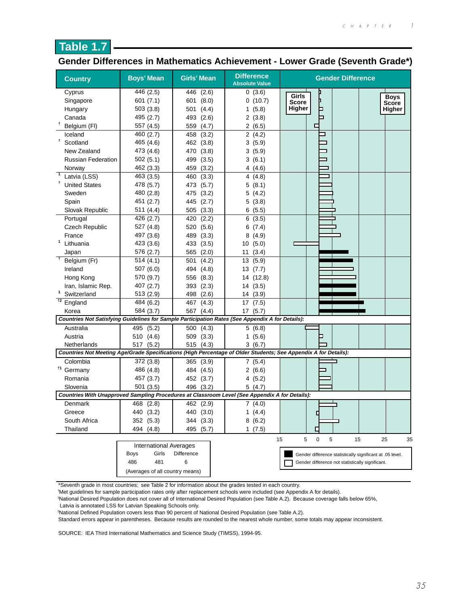

## **Gender Differences in Mathematics Achievement - Lower Grade (Seventh Grade\*)**

| <b>Country</b>              | <b>Boys' Mean</b>               | <b>Girls' Mean</b> | <b>Difference</b><br><b>Absolute Value</b>                                                       | <b>Gender Difference</b>                                                                                        |
|-----------------------------|---------------------------------|--------------------|--------------------------------------------------------------------------------------------------|-----------------------------------------------------------------------------------------------------------------|
| Cyprus                      | 446 (2.5)                       | 446 (2.6)          | 0(3.6)                                                                                           | Girls<br><b>Boys</b>                                                                                            |
| Singapore                   | 601(7.1)                        | (8.0)<br>601       | 0(10.7)                                                                                          | Score<br>Score                                                                                                  |
| Hungary                     | 503(3.8)                        | 501<br>(4.4)       | 1(5.8)                                                                                           | Higher<br>P<br>Higher                                                                                           |
| Canada                      | 495 (2.7)                       | 493<br>(2.6)       | 2(3.8)                                                                                           | ⊐                                                                                                               |
| Belgium (FI)                | 557 (4.5)                       | 559<br>(4.7)       | 2(6.5)                                                                                           | ⊏                                                                                                               |
| Iceland                     | 460 (2.7)                       | 458<br>(3.2)       | 2(4.2)                                                                                           |                                                                                                                 |
| Ť.<br>Scotland              | 465 (4.6)                       | 462<br>(3.8)       | 3(5.9)                                                                                           |                                                                                                                 |
| New Zealand                 | 473 (4.6)                       | 470 (3.8)          | 3(5.9)                                                                                           |                                                                                                                 |
| <b>Russian Federation</b>   | 502(5.1)                        | 499<br>(3.5)       | 3(6.1)                                                                                           |                                                                                                                 |
| Norway                      | 462 (3.3)                       | 459<br>(3.2)       | 4(4.6)                                                                                           |                                                                                                                 |
| ℸ<br>Latvia (LSS)           | 463 (3.5)                       | 460<br>(3.3)       | 4(4.8)                                                                                           |                                                                                                                 |
| <b>United States</b>        | 478 (5.7)                       | 473<br>(5.7)       | 5(8.1)                                                                                           |                                                                                                                 |
| Sweden                      | 480 (2.8)                       | 475<br>(3.2)       | 5(4.2)                                                                                           |                                                                                                                 |
| Spain                       | 451 (2.7)                       | 445<br>(2.7)       | 5(3.8)                                                                                           |                                                                                                                 |
| Slovak Republic             | 511 (4.4)                       | (3.3)<br>505       | 6(5.5)                                                                                           |                                                                                                                 |
| Portugal                    | 426 (2.7)                       | 420<br>(2.2)       | 6(3.5)                                                                                           |                                                                                                                 |
| <b>Czech Republic</b>       | 527 (4.8)                       | 520 (5.6)          | 6(7.4)                                                                                           |                                                                                                                 |
| France                      | 497 (3.6)                       | 489<br>(3.3)       | 8(4.9)                                                                                           |                                                                                                                 |
| 1<br>Lithuania              | 423 (3.6)                       | 433<br>(3.5)       | 10(5.0)                                                                                          |                                                                                                                 |
| Japan                       | 576 (2.7)                       | 565 (2.0)          | 11(3.4)                                                                                          |                                                                                                                 |
| Ŧ<br>Belgium (Fr)           | 514(4.1)                        | 501<br>(4.2)       | 13 (5.9)                                                                                         |                                                                                                                 |
| Ireland                     | 507(6.0)                        | 494 (4.8)          | 13(7.7)                                                                                          |                                                                                                                 |
| Hong Kong                   | 570 (9.7)                       | 556 (8.3)          | 14 (12.8)                                                                                        |                                                                                                                 |
| Iran, Islamic Rep.          | 407 (2.7)                       | 393(2.3)           | 14(3.5)                                                                                          |                                                                                                                 |
| $\mathbf{1}$<br>Switzerland | 513(2.9)                        | (2.6)<br>498       | 14 (3.9)                                                                                         |                                                                                                                 |
| $\dagger$<br>England        | 484 (6.2)                       | 467 (4.3)          | 17(7.5)                                                                                          |                                                                                                                 |
| Korea                       | 584 (3.7)                       | (4.4)<br>567       | 17(5.7)                                                                                          |                                                                                                                 |
|                             |                                 |                    | Countries Not Satisfying Guidelines for Sample Participation Rates (See Appendix A for Details): |                                                                                                                 |
| Australia                   | 495 (5.2)                       | 500 (4.3)          | 5(6.8)                                                                                           |                                                                                                                 |
| Austria                     | 510 (4.6)                       | 509 (3.3)          | 1(5.6)                                                                                           |                                                                                                                 |
| Netherlands                 | 517 (5.2)                       | 515 (4.3)          | 3(6.7)                                                                                           |                                                                                                                 |
|                             |                                 |                    |                                                                                                  | Countries Not Meeting Age/Grade Specifications (High Percentage of Older Students; See Appendix A for Details): |
| Colombia                    | 372 (3.8)                       | 365 (3.9)          | 7(5.4)                                                                                           |                                                                                                                 |
| <sup>†1</sup> Germany       | 486 (4.8)                       | 484 (4.5)          | 2(6.6)                                                                                           |                                                                                                                 |
| Romania                     | 457 (3.7)                       | 452 (3.7)          | 4(5.2)                                                                                           |                                                                                                                 |
| Slovenia                    | 501(3.5)                        | 496 (3.2)          | 5(4.7)                                                                                           |                                                                                                                 |
|                             |                                 |                    | Countries With Unapproved Sampling Procedures at Classroom Level (See Appendix A for Details):   |                                                                                                                 |
| Denmark                     | 468 (2.8)                       | 462 (2.9)          | 7(4.0)                                                                                           |                                                                                                                 |
| Greece                      | 440 (3.2)                       | 440 (3.0)          | 1(4.4)                                                                                           |                                                                                                                 |
| South Africa                | 352 (5.3)                       | 344 (3.3)          | 8(6.2)                                                                                           |                                                                                                                 |
| Thailand                    | 494 (4.8)                       | 495 (5.7)          | 1(7.5)                                                                                           | г                                                                                                               |
|                             |                                 |                    |                                                                                                  | 5<br>$\pmb{0}$<br>15<br>5<br>15<br>25<br>35                                                                     |
|                             | <b>International Averages</b>   |                    |                                                                                                  |                                                                                                                 |
|                             | Girls<br>Boys                   | Difference         |                                                                                                  | Gender difference statistically significant at .05 level.                                                       |
|                             | 486<br>481                      | 6                  |                                                                                                  | Gender difference not statistically significant.                                                                |
|                             | (Averages of all country means) |                    |                                                                                                  |                                                                                                                 |

\*Seventh grade in most countries; see Table 2 for information about the grades tested in each country.

† Met guidelines for sample participation rates only after replacement schools were included (see Appendix A for details).

1 National Desired Population does not cover all of International Desired Population (see Table A.2). Because coverage falls below 65%,

Latvia is annotated LSS for Latvian Speaking Schools only.

2 National Defined Population covers less than 90 percent of National Desired Population (see Table A.2).

Standard errors appear in parentheses. Because results are rounded to the nearest whole number, some totals may appear inconsistent.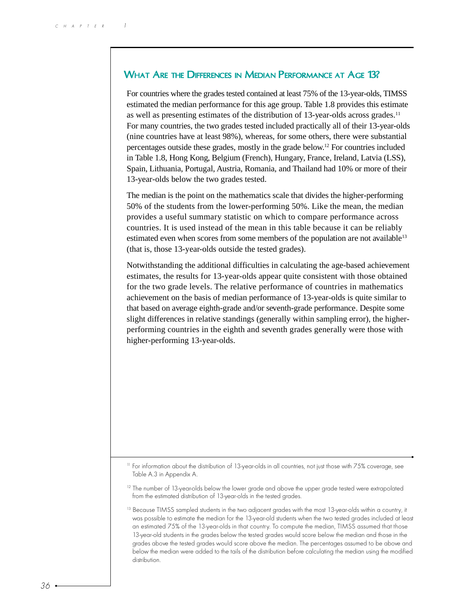## WHAT ARE THE DIFFERENCES IN MEDIAN PERFORMANCE AT AGE 13?

For countries where the grades tested contained at least 75% of the 13-year-olds, TIMSS estimated the median performance for this age group. Table 1.8 provides this estimate as well as presenting estimates of the distribution of 13-year-olds across grades.<sup>11</sup> For many countries, the two grades tested included practically all of their 13-year-olds (nine countries have at least 98%), whereas, for some others, there were substantial percentages outside these grades, mostly in the grade below.12 For countries included in Table 1.8, Hong Kong, Belgium (French), Hungary, France, Ireland, Latvia (LSS), Spain, Lithuania, Portugal, Austria, Romania, and Thailand had 10% or more of their 13-year-olds below the two grades tested.

The median is the point on the mathematics scale that divides the higher-performing 50% of the students from the lower-performing 50%. Like the mean, the median provides a useful summary statistic on which to compare performance across countries. It is used instead of the mean in this table because it can be reliably estimated even when scores from some members of the population are not available<sup>13</sup> (that is, those 13-year-olds outside the tested grades).

Notwithstanding the additional difficulties in calculating the age-based achievement estimates, the results for 13-year-olds appear quite consistent with those obtained for the two grade levels. The relative performance of countries in mathematics achievement on the basis of median performance of 13-year-olds is quite similar to that based on average eighth-grade and/or seventh-grade performance. Despite some slight differences in relative standings (generally within sampling error), the higherperforming countries in the eighth and seventh grades generally were those with higher-performing 13-year-olds.

<sup>11</sup> For information about the distribution of 13-year-olds in all countries, not just those with 75% coverage, see Table A.3 in Appendix A.

 $12$  The number of 13-year-olds below the lower grade and above the upper grade tested were extrapolated from the estimated distribution of 13-year-olds in the tested grades.

<sup>&</sup>lt;sup>13</sup> Because TIMSS sampled students in the two adjacent grades with the most 13-year-olds within a country, it was possible to estimate the median for the 13-year-old students when the two tested grades included at least an estimated 75% of the 13-year-olds in that country. To compute the median, TIMSS assumed that those 13-year-old students in the grades below the tested grades would score below the median and those in the grades above the tested grades would score above the median. The percentages assumed to be above and below the median were added to the tails of the distribution before calculating the median using the modified distribution.